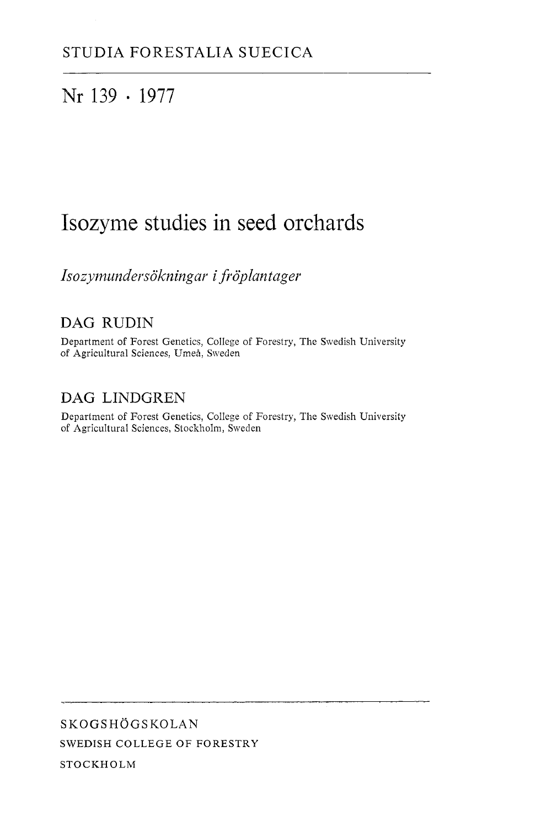# Nr 139 · 1977

# Isozyme studies in seed orchards

Isozymundersökningar i fröplantager

# DAG RUDIN

Department of Forest Genetics, College of Forestry, The Swedish University of Agricultural Sciences, Umeå, Sweden

# DAG LINDCREN

Department of Forest Genetics, College of Forestry, The Swedish University of Agricultural Sciences, Stockholm, Sweden

**SKOGSHOGSKOLAN**  SWEDISH COLLEGE OF FORESTRY STOCKHOLM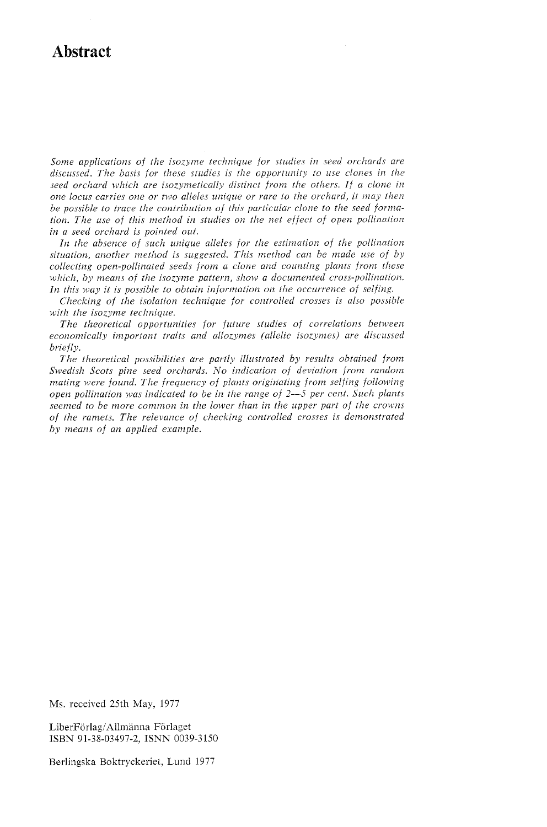# **Abstract**

*Some applications of the isozyme technique for studies in seed orchards are discussed. The basis for these studies is the opportunity to use clones in the seed orchard which are isozymetically distinct from the others. If a clone in one locus carries one or two alleles unique or rare to the orchard, it may then be possible to trace the contribution of this particular clone to the seed fornm*tion. The use of this method in studies on the net effect of open pollination *in a seed orchard is pointed out.* 

In the absence of such unique alleles for the estimation of the pollination situation, another method is suggested. This method can be made use of by *collecting open-pollinated seeds from a clone and counting plants from these which, by means of the isozyme pattern, show a documented cross-pollination. In this way it is possible to obtain information on the occurrence of seljing.* 

*Checking of the isolation technique for controlled crosses is also possible*  with the isozyme technique.

*The theoretical opportunities for future studies of correlations between economically important traits and allozymes (allelic isozymes) are discussed briefly.* 

*The theoretical possibilities are partly illustrated by results obtained from Swedish Scots pine seed orchards. No indication of deviation from random mating were found. The frequency of plants originating from seljing following open pollination was indicated to be in the range of* 2-5 *per cent. Such plants seemed to be more common in the lower than in the upper part of the crowns* of the ramets. The relevance of checking controlled crosses is demonstrated *by means of an applied exanzple.* 

Ms. received 25th May, 1977

LiberFörlag/Allmänna Förlaget ISBN 91-38-03497-2, ISNN 0039-3150

Berlingska Boktryckeriet, Lund 1977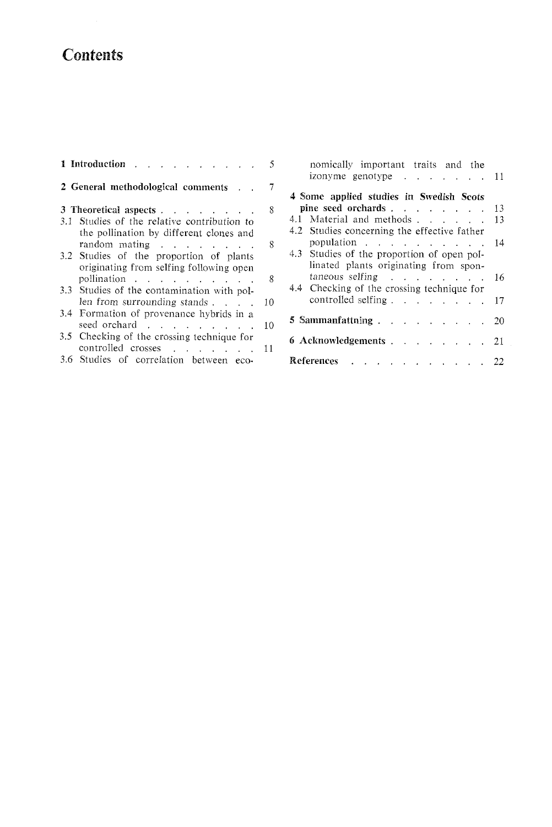# **Contents**

| 1 Introduction<br>5                                                                                                  |
|----------------------------------------------------------------------------------------------------------------------|
| 2 General methodological comments                                                                                    |
| 8<br>3 Theoretical aspects<br>3.1 Studies of the relative contribution to<br>the pollination by different clones and |
| random mating<br>8<br>3.2 Studies of the proportion of plants<br>originating from selfing following open             |
| pollination<br>8<br>3.3 Studies of the contamination with pol-                                                       |
| len from surrounding stands $\ldots$ .<br>10<br>3.4 Formation of provenance hybrids in a                             |
| seed orchard<br>10<br>3.5 Checking of the crossing technique for                                                     |
| controlled crosses<br>11<br>3.6 Studies of correlation between eco-                                                  |

|                       | nomically important traits and the             |  |  |    |  |
|-----------------------|------------------------------------------------|--|--|----|--|
|                       | izonyme genotype $\ldots$ $\ldots$ $\ldots$ 11 |  |  |    |  |
|                       | 4 Some applied studies in Swedish Scots        |  |  |    |  |
|                       | pine seed orchards                             |  |  | 13 |  |
|                       | 4.1 Material and methods                       |  |  | 13 |  |
|                       | 4.2 Studies concerning the effective father    |  |  |    |  |
|                       | population                                     |  |  | 14 |  |
|                       | 4.3 Studies of the proportion of open pol-     |  |  |    |  |
|                       | linated plants originating from spon-          |  |  |    |  |
|                       | $taneous$ selfing $\ldots$ $\ldots$ $\ldots$   |  |  | 16 |  |
|                       | 4.4 Checking of the crossing technique for     |  |  |    |  |
|                       | controlled selfing                             |  |  | 17 |  |
|                       | 5 Sammanfattning                               |  |  | 20 |  |
| 6 Acknowledgements 21 |                                                |  |  |    |  |
|                       | References 22                                  |  |  |    |  |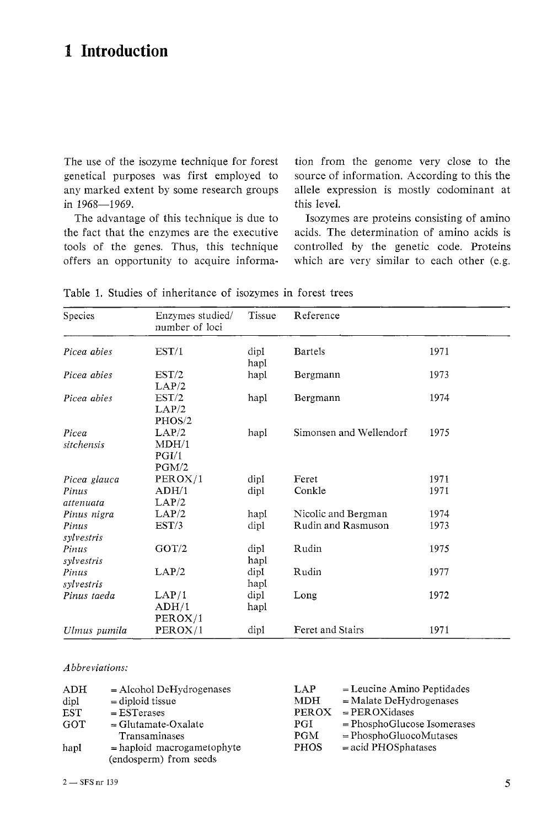# **1 Introduction**

The use of the isozyme technique for forest genetical purposes was first employed to any marked extent by some research groups in 1968-1969.

The advantage of this technique is due to the fact that the enzymes are the executive tools of the genes. Thus, this technique offers an opportunity to acquire information from the genome very close to the source of information. According to this the allele expression is mostly codominant at this level.

Isozymes are proteins consisting of amino acids. The determination of amino acids is controlled by the genetic code. Proteins which are very similar to each other (e.g.

| Species             | Enzymes studied/<br>number of loci | Tissue       | Reference               |      |
|---------------------|------------------------------------|--------------|-------------------------|------|
| Picea abies         | EST/1                              | dipl<br>hapl | <b>Bartels</b>          | 1971 |
| Picea abies         | EST/2<br>LAP/2                     | hapl         | Bergmann                | 1973 |
| Picea abies         | EST/2<br>LAP/2<br>PHOS/2           | hapl         | Bergmann                | 1974 |
| Picea<br>sitchensis | LAP/2<br>MDH/1<br>PGI/1<br>PGM/2   | hapl         | Simonsen and Wellendorf | 1975 |
| Picea glauca        | PEROX/1                            | dipl         | Feret                   | 1971 |
| Pinus               | ADH/1                              | dipl         | Conkle                  | 1971 |
| attenuata           | LAP/2                              |              |                         |      |
| Pinus nigra         | LAP/2                              | hapl         | Nicolic and Bergman     | 1974 |
| Pinus<br>sylvestris | EST/3                              | dipl         | Rudin and Rasmuson      | 1973 |
| Pinus<br>sylvestris | GOT/2                              | dipl<br>hapl | Rudin                   | 1975 |
| Pinus<br>sylvestris | LAP/2                              | dipl<br>hapl | Rudin                   | 1977 |
| Pinus taeda         | LAP/1<br>ADH/1<br>PEROX/1          | dipl<br>hapl | Long                    | 1972 |
| Ulmus pumila        | PEROX/1                            | dipl         | Feret and Stairs        | 1971 |

Table 1. Studies of inheritance of isozymes in forest trees

*Abbreviations:* 

| ADH  | $=$ Alcohol DeHydrogenases   | <b>LAP</b>   | $=$ Leucine Amino Peptidades  |
|------|------------------------------|--------------|-------------------------------|
| dipl | $=$ diploid tissue           | MDH.         | $=$ Malate DeHydrogenases     |
| EST  | $=$ EST erases               | <b>PEROX</b> | $=$ PEROXidases               |
| GOT  | $=$ Glutamate-Oxalate        | PGI          | $=$ PhosphoGlucose Isomerases |
|      | Transaminases                | <b>PGM</b>   | $= PhosphoGluocoMutases$      |
| hapl | $=$ haploid macrogametophyte | <b>PHOS</b>  | $=$ acid PHOSphatases         |
|      | (endosperm) from seeds       |              |                               |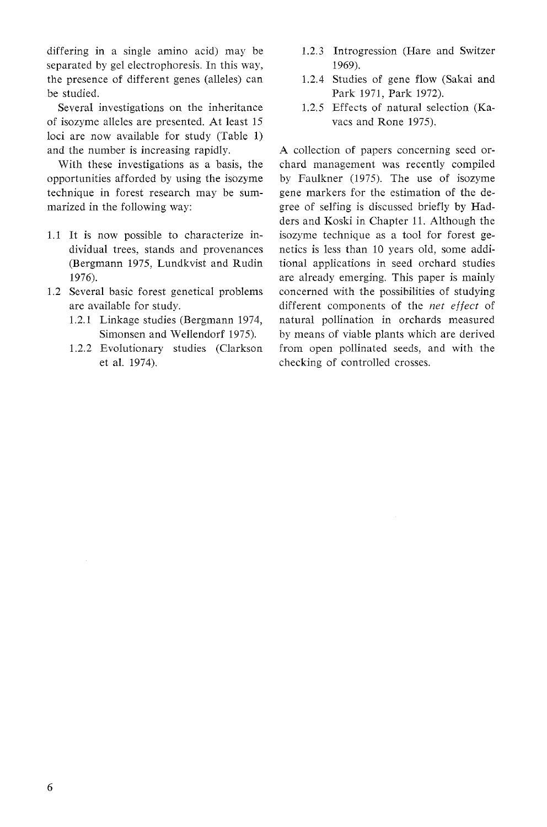differing in a single amino acid) may be separated by gel electrophoresis. In this way, the presence of different genes (alleles) can be studied.

Several investigations on the inheritance of isozyme alleles are presented. At least 15 loci are now available for study (Table 1) and the number is increasing rapidly.

With these investigations as a basis, the opportunities afforded by using the isozyme technique in forest research may be summarized in the following way:

- 1.1 It is now possible to characterize individual trees, stands and provenances (Bergmann 1975, Lundkvist and Rudin 1976).
- 1.2 Several basic forest genetical problems are available for study.
	- 1.2.1 Linkage studies (Bergmann 1974, Simonsen and Wellendorf 1975).
	- 1.2.2 Evolutionary studies (Clarkson et al. 1974).
- 1.2.3 Introgression (Hare and Switzer 1969).
- 1.2.4 Studies of gene flow (Sakai and Park 1971, Park 1972).
- 1.2.5 Effects of natural selection (Kavacs and Rone 1975).

A collection of papers concerning seed orchard management was recently compiled by Faulkner (1975). The use of isozyme gene markers for the estimation of the degree of selfing is discussed briefly by Hadders and Koski in Chapter 11. Although the isozyme technique as a tool for forest genetics is less than 10 years old, some additional applications in seed orchard studies are already emerging. This paper is mainly concerned with the possibilities of studying different components of the *net* effect of natural pollination in orchards measured by means of viable plants which are derived from open pollinated seeds, and with the checking of controlled crosses.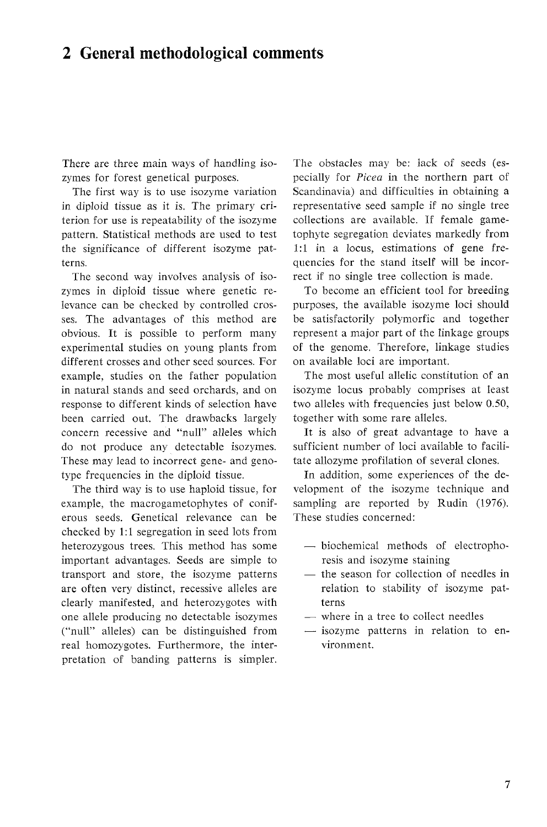# **2 General methodological comments**

There are three main ways of handling isozymes for forest genetical purposes.

The first way is to use isozyme variation in diploid tissue as it is. The primary criterion for use is repeatability of the isozyme pattern. Statistical methods are used to test the significance of different isozyme patterns.

The second way involves analysis of isozymes in diploid tissue where genetic relevance can be checked by controlled crosses. The advantages of this method are obvious. It is possible to perform many experimental studies on young plants from different crosses and other seed sources. For example, studies on the father population in natural stands and seed orchards, and on response to different kinds of selection have been carried out. The drawbacks largely concern recessive and "null" alleles which do not produce any detectable isozymes. These may lead to incorrect gene- and genotype frequencies in the diploid tissue.

The third way is to use haploid tissue, for example, the macrogametophytes of coniferous seeds. Genetical relevance can be checked by 1:1 segregation in seed lots from heterozygous trees. This method has some important advantages. Seeds are simple to transport and store, the isozyme patterns are often very distinct, recessive alleles are clearly manifested, and heterozygotes with one allele producing no detectable isozymes ("null" alleles) can be distinguished from real homozygotes. Furthermore, the interpretation of banding patterns is simpler.

The obstacles may be: lack of seeds (especially for *Picea* in the northern part of Scandinavia) and difficulties in obtaining a representative seed sample if no single tree collections are available. If female gametophyte segregation deviates markedly from 1:1 in a locus, estimations of gene frequencies for the stand itself will be incorrect if no single tree collection is made.

To become an efficient tool for breeding purposes, the available isozyme loci should be satisfactorily polymorfic and together represent a major part of the linkage groups of the genome. Therefore, linkage studies on available loci are important.

The most useful allelic constitution of an isozyme locus probably comprises at least two alleles with frequencies just below 0.50, together with some rare alleles.

It is also of great advantage to have a sufficient number of loci available to facilitate allozyme profilation of several clones.

In addition, some experiences of the development of the isozyme technique and sampling are reported by Rudin (1976). These studies concerned:

- biochemical methods of electrophoresis and isozyme staining
- the season for collection of needles in relation to stability of isozyme patterns
- where in a tree to collect needles
- $-$  isozyme patterns in relation to environment.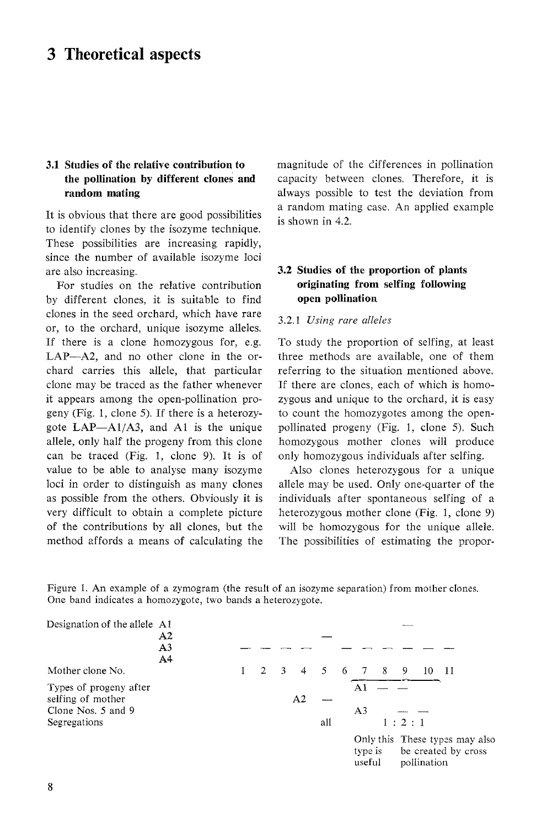# **3 Theoretical aspects**

## **3.1 Studies of the relative contribution to the pollination by different clones and random mating**

It is obvious that there are good possibilities to identify clones by the isozyme technique. These possibilities are increasing rapidly, since the number of available isozyme loci are also increasing.

For studies on the relative contribution by different clones, it is suitable to find clones in the seed orchard, which have rare or, to the orchard, unique isozyme alleles. If there is a clone homozygous for, e.g. LAP-A2, and no other clone in the orchard carries this allele, that particular clone may be traced as the father whenever it appears among the open-pollination progeny (Fig. 1, clone 5). If there is a heterozygote  $LAP - A1/A3$ , and A1 is the unique allele, only half the progeny from this clone can be traced (Fig. 1, clone 9). It is of value to be able to analyse many isozyme loci in order to distinguish as many clones as possible from the others. Obviously it is very difficult to obtain a complete picture of the contributions by all clones, but the method affords a means of calculating the magnitude of the clifferences in pollination capacity between clones. Therefore, it is always possible to test the deviation from a random mating case. An applied example is shown in 4.2.

## **3.2 Studies of the proportion of plants originating from selfing following open pollination**

### 3.2.1 *Using rare alleles*

To study the proportion of selfing, at least three methods are available, one of them referring to the situation mentioned above. If there are clones, each of which is homozygous and unique to the orchard, it is easy to count the homozygotes among the openpollinated progeny (Fig. 1, clone 5). Such homozygous mother clones will produce only homozygous individuals after selfing.

Also clones heterozygous for a unique allele may be used. Only one-quarter of the individuals after spontaneous selfing of a heterozygous mother clone (Fig. 1, clone 9) will be homozygous for the unique allele. The possibilities of estimating the propor-

Figure 1. An example of a zymogram (the result of an isozyme separation) from mother clones. One band indicates a homozygote, two bands a heterozygote.

| Designation of the allele A1                                      | A2<br>A <sub>3</sub><br>A <sup>4</sup> |  |              |                         |    |             |    |                   |       |             |                                                       |
|-------------------------------------------------------------------|----------------------------------------|--|--------------|-------------------------|----|-------------|----|-------------------|-------|-------------|-------------------------------------------------------|
| Mother clone No.                                                  |                                        |  | $\mathbf{2}$ | $\overline{\mathbf{3}}$ | 4  | $5^{\circ}$ | -6 | 78                | -9    | 10          | - 11                                                  |
| Types of progeny after<br>selfing of mother<br>Clone Nos. 5 and 9 |                                        |  |              |                         | A2 |             |    | Αi<br>A3          |       |             |                                                       |
| Segregations                                                      |                                        |  |              |                         |    | all         |    |                   | 1:2:1 |             |                                                       |
|                                                                   |                                        |  |              |                         |    |             |    | type is<br>useful |       | pollination | Only this These types may also<br>be created by cross |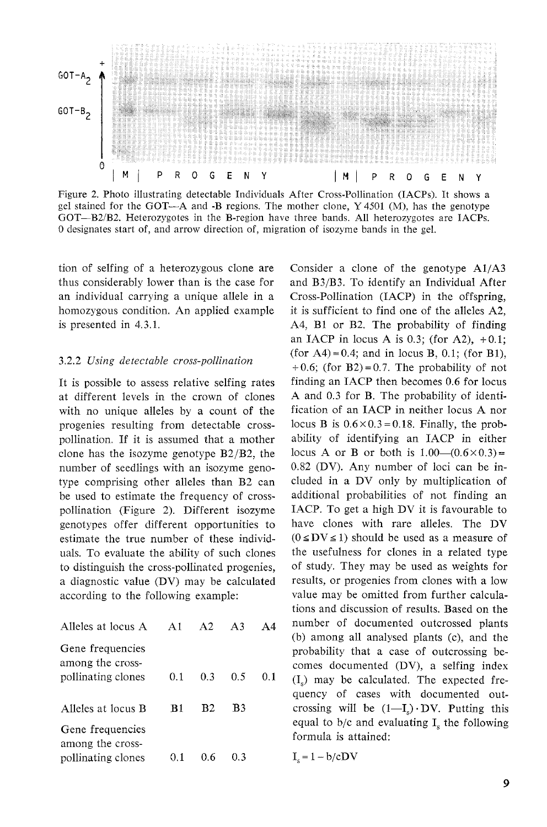

Figure 2. Photo illustrating detectable Individuals After Cross-Pollination (IACPs). It shows a gel stained for the GOT-A and -B regions. The mother clone, Y 4501 (M), has the genotype GOT-B21B2. Heterozygotes in the B-region have three bands. All heterozygotes are IACPs. *0* designates start of, and arrow direction of, migration of isozyme bands in the gel.

tion of selfing of a heterozygous clone are thus considerably lower than is the case for an individual carrying a unique allele in a homozygous condition. An applied example is presented in 4.3.1.

#### 3.2.2 *Using detectable cross-pollination*

It is possible to assess relative selfing rates at different levels in the crown of clones with no unique alleles by a count of the progenies resulting from detectable crosspollination. If it is assumed that a mother clone has the isozyme genotype B2/B2, the number of seedlings with an isozyme genotype comprising other alleles than B2 can be used to estimate the frequency of crosspollination (Figure 2). Different isozyme genotypes offer different opportunities to estimate the true number of these individuals. To evaluate the ability of such clones to distinguish the cross-pollinated progenies, a diagnostic value (DV) may be calculated according to the following example:

| Alleles at locus A                                         | A1   | A2             | $\Delta$ 3 | $\Delta 4$ |
|------------------------------------------------------------|------|----------------|------------|------------|
| Gene frequencies<br>among the cross-<br>pollinating clones | 0.1  | 0.3            | 0.5        | O 1        |
| Alleles at locus B                                         | B1   | B <sub>2</sub> | B3         |            |
| Gene frequencies<br>among the cross-                       |      |                |            |            |
| pollinating clones                                         | O. 1 | 0.6            | 0.3        |            |

Consider a clone of the genotype Al/A3 and B3/B3. To identify an Individual After Cross-Pollination (IACP) in the offspring, it is sufficient to find one of the alleles A2, A4, B1 or B2. The probability of finding an IACP in locus A is 0.3; (for A2),  $+0.1$ ; (for A4) = 0.4; and in locus B, 0.1; (for B1),  $+0.6$ ; (for B2) = 0.7. The probability of not finding an IACP then becomes 0.6 for locus A and 0.3 for B. The probability of identification of an IACP in neither locus A nor locus B is  $0.6 \times 0.3 = 0.18$ . Finally, the probability of identifying an IACP in either locus A or B or both is  $1.00-(0.6\times0.3)$  = 0.82 (DV). Any number of loci can be included in a DV only by multiplication of additional probabilities of not finding an IACP. To get a high DV it is favourable to have clones with rare alleles. The DV  $(0 \leq DV \leq 1)$  should be used as a measure of the usefulness for clones in a related type of study. They may be used as weights for results, or progenies from clones with a low value may be omitted from further calculations and discussion of results. Based on the number of documented outcrossed plants (b) among all analysed plants (c), and the probability that a case of outcrossing becomes documented (DV), a selfing index  $(I<sub>s</sub>)$  may be calculated. The expected frequency of cases with documented outcrossing will be  $(1-I_s)\cdot DV$ . Putting this equal to  $b/c$  and evaluating  $I<sub>s</sub>$  the following formula is attained:

 $I_e = 1 - b/cDV$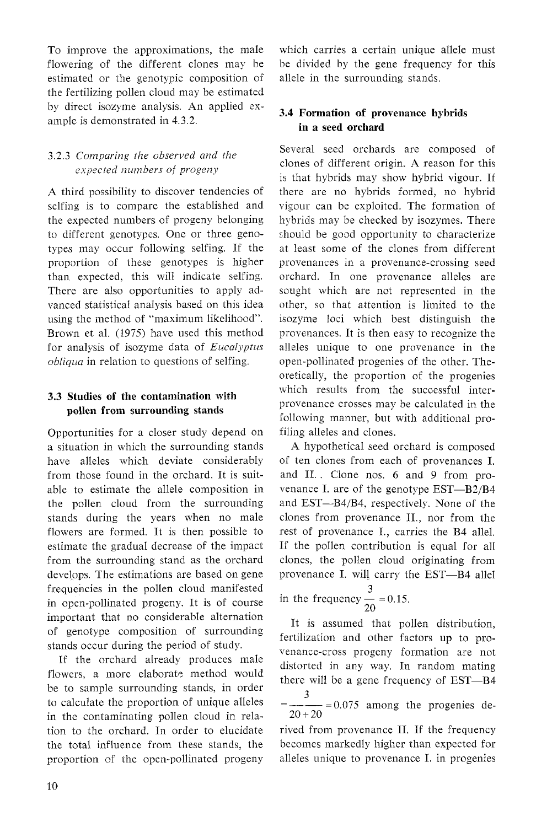To improve the approximations, the male which carries a certain unique allele must flowering of the different clones may be be divided by the gene frequency for this estimated or the genotypic composition of allele in the surrounding stands. the fertilizing pollen cloud may be estimated by direct isozyme analysis. An applied ex- **3.4 Formation of provenance hybrids** ample is demonstrated in 4.3.2. **in a seed orchard** 

## 3.2.3 *Comparing the observed and the expected numbers of progeny*

A third possibility to discover tendencies of selfing is to compare the established and the expected numbers of progeny belonging to different genotypes. One or three genotypes may occur following selfing. If the proportion of these genotypes is higher than expected, this will indicate selfing. There are also opportunities to apply advanced statistical analysis based on this idea using the method of "maximum likelihood". Brown et al. (1975) have used this method for analysis of isozyme data of *Eucalyptus obliqua* in relation to questions of selfing.

Opportunities for a closer study depend on a situation in which the surrounding stands have alleles which deviate considerably from those found in the orchard. It is suitable to estimate the allele composition in the pollen cloud from the surrounding stands during the years when no male flowers are formed. It is then possible to estimate the gradual decrease of the impact from the surrounding stand as the orchard develops. The estimations are based on gene frequencies in the pollen cloud manifested in open-pollinated progeny. It is of course important that no considerable alternation of genotype composition of surrounding stands occur during the period of study.

If the orchard already produces male flowers, a more elaborate method would be to sample surrounding stands, in order to calculate the proportion of unique alleles in the contaminating pollen cloud in relation to the orchard. In order to elucidate the total influence from these stands, the proportion of the open-pollinated progeny

Several seed orchards are composed of clones of different origin. A reason for this is that hybrids may show hybrid vigour. If there are no hybrids formed, no hybrid vigour can be exploited. The formation of hybrids may be checked by isozymes. There should be good opportunity to characterize at least some of the clones from different provenances in a provenance-crossing seed orchard. In one provenance alleles are sought which are not represented in the other, so that attention is limited to the isozyme loci which best distinguish the provenances. It is then easy to recognize the alleles unique to one provenance in the open-pollinated progenies of the other. Theoretically, the proportion of the progenies **3.3 Studies of the contamination with** which results from the successful inter-<br>provenance crosses may be calculated in the pollen from surrounding stands **provenance crosses may be calculated in the provenance** following manner, but with additional profiling alleles and clones.

> A hypothetical seed orchard is composed of ten clones from each of provenances I. and 11.. Clone nos. 6 and 9 from provenance I. are of the genotype EST-B2/B4 and EST-B4/B4, respectively. None of the clones from provenance IT., nor from the rest of provenance I., carries the B4 allel. If the pollen contribution is equal for all clones, the pollen cloud originating from provenance I. will carry the EST-B4 allel 3 provenance 1. will carry th<br>in the frequency  $\frac{3}{20} = 0.15$ .

> It is assumed that pollen distribution, fertilization and other factors up to provenance-cross progeny formation are not distorted in any way. In random mating there will be a gene frequency of EST-B4

 $\frac{3}{2}$  = 0.075 among the progenies de- $20 + 20$ 

rived from provenance 11. If the frequency becomes markedly higher than expected for alleles unique to provenance I. in progenies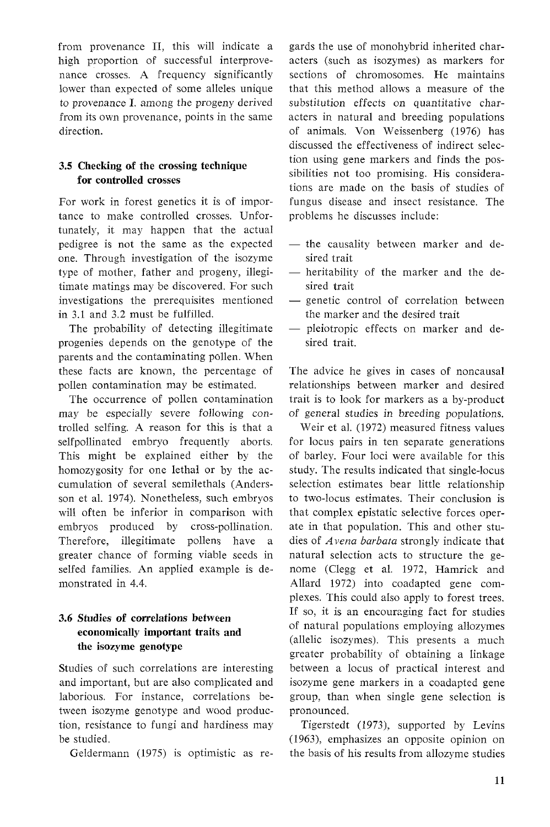from provenance 11, this will indicate a high proportion of successful interprovenance crosses. A frequency significantly lower than expected of some alleles unique to provenance I. among the progeny derived from its own provenance, points in the same direction.

## **3.5 Checking of the crossing technique for controlled crosses**

For work in forest genetics it is of importance to make controlled crosses. Unfortunately, it may happen that the actual pedigree is not the same as the expected one. Through investigation of the isozyme type of mother, father and progeny, illegitimate matings may be discovered. For such investigations the prerequisites mentioned in 3.1 and 3.2 must be fulfilled.

The probability of detecting illegitimate progenies depends on the genotype of the parents and the contaminating pollen. When these facts are known, the percentage of pollen contamination may be estimated.

The occurrence of pollen contamination may be especially severe following controlled selfing. A reason for this is that a selfpollinated embryo frequently aborts. This might be explained either by the homozygosity for one lethal or by the accumulation of several semilethals (Andersson et al. 1974). Nonetheless, such embryos will often be inferior in comparison with embryos produced by cross-pollination. Therefore, illegitimate pollens have a greater chance of forming viable seeds in selfed families. An applied example is demonstrated in 4.4.

## **3.6 Studies of correlations between economically important traits and the isozyme genotype**

Studies of such correlations are interesting and important, but are also complicated and laborious. For instance, correlations between isozyme genotype and wood production, resistance to fungi and hardiness may be studied.

Geldermann (1975) is optimistic as re-

gards the use of monohybrid inherited characters (such as isozymes) as markers for sections of chromosomes. He maintains that this method allows a measure of the substitution effects on quantitative characters in natural and breeding populations of animals. Von Weissenberg (1976) has discussed the effectiveness of indirect selection using gene markers and finds the possibilities not too promising. His considerations are made on the basis of studies of fungus disease and insect resistance. The problems he discusses include:

- the causality between marker and desired trait
- heritability of the marker and the desired trait
- genetic control of correlation between the marker and the desired trait
- pleiotropic effects on marker and desired trait.

The advice he gives in cases of noncausal relationships between marker and desired trait is to look for markers as a by-product of general studies in breeding populations.

Weir et al. (1972) measured fitness values for locus pairs in ten separate generations of barley. Four loci were available for this study. The results indicated that single-locus selection estimates bear little relationship to two-locus estimates. Their conclusion is that complex epistatic selective forces operate in that population. This and other studies of Avena *barbata* strongly indicate that natural selection acts to structure the genome (Clegg et al. 1972, Hamrick and Allard 1972) into coadapted gene complexes. This could also apply to forest trees. If so, it is an encouraging fact for studies of natural populations employing allozymes (allelic isozymes). This presents a much greater probability of obtaining a linkage between a locus of practical interest and isozyme gene markers in a coadapted gene group, than when single gene selection is pronounced.

Tigerstedt (1973), supported by Levins (1963), emphasizes an opposite opinion on the basis of his results from allozyme studies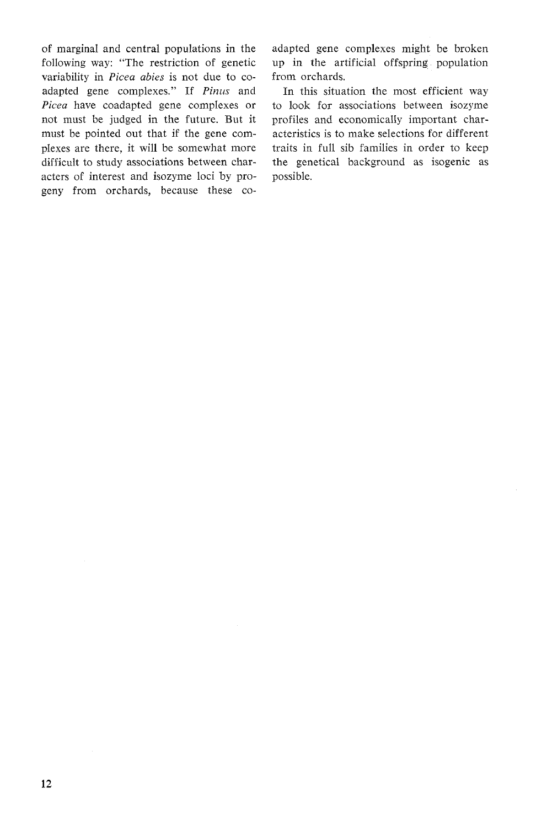of marginal and central populations in the following way: "The restriction of genetic variability in *Picea abies* is not due to coadapted gene complexes." If *Pinus* and *Picea* have coadapted gene complexes or not must be judged in the future. But it must be pointed out that if the gene complexes are there, it will be somewhat more difficult to study associations between characters of interest and isozyme loci by progeny from orchards, because these coadapted gene complexes might be broken up in the artificial offspring population from orchards.

In this situation the most efficient way to look for associations between isozyme profiles and economically important characteristics is to make selections for different traits in full sib families in order to keep the genetical background as isogenic as possible.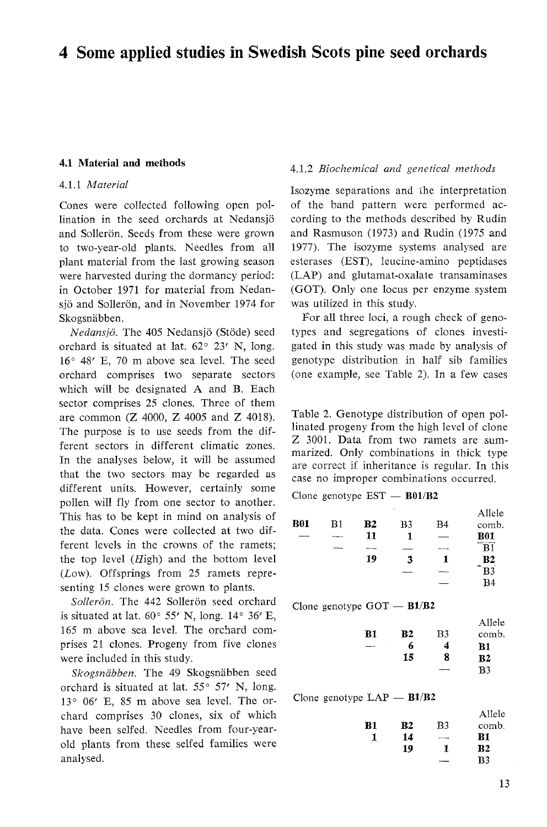# **4 Some applied studies in Swedish Scots pine seed orchards**

#### **4.1 Material and methods**

### *4.1.1 Material*

Cones were collected following open pollination in the seed orchards at Nedansjo and Sollerön. Seeds from these were grown to two-year-old plants. Needles from all plant material from the last growing season were harvested during the dormancy period: in October *1971* for material from Nedansjö and Sollerön, and in November 1974 for Skogsnäbben.

*Nedansjo.* The *405* Nedansjo (Stode) seed orchard is situated at lat.  $62^{\circ}$  23' N, long. *16" 48'* E, *70* m above sea level. The seed orchard comprises two separate sectors which will be designated A and B. Each sector comprises *25* clones. Three of them are common (Z *4000,* Z *4005* and *Z 4018).*  The purpose is to use seeds from the different sectors in different climatic zones. In the analyses below, it will be assumed that the two sectors may be regarded as different units. However, certainly some pollen will fly from one sector to another. This has to be kept in mind on analysis of the data. Cones were collected at two different levels in the crowns of the ramets; the top level  $(High)$  and the bottom level (Low). Offsprings from *25* ramets representing *15* clones were grown to plants.

Sollerön. The 442 Sollerön seed orchard is situated at lat. *60" 55'* N, long. *14" 36'* E, *165* m above sea level. The orchard comprises *21* clones. Progeny from five clones were included in this study.

*Skogsnabben.* The *49* Skogsnabben seed orchard is situated at lat. 55° 57' N, long. *13" 06'* E, *85* m above sea level. The orchard comprises *30* clones, six of which have been selfed. Needles from four-yearold plants from these selfed families were analysed.

#### *4.1.2 Biochemical and genetical methods*

Isozyme separations and ihe interpretation of the band pattern were performed according to the methods described by Rudin and Rasmuson *(1973)* and Rudin *(1975* and *1977).* The isozyme systems analysed are esterases (EST), leucine-amino peptidases (LAP) and glutamat-oxalate transaminases (GOT). Only one locus per enzyme system was utilized in this study.

For all three loci, a rough check of genotypes and segregations of clones investigated in this study was made by analysis of genotype distribution in half sib families (one example, see Table *2).* In a few cases

Table 2. Genotype distribution of open pollinated progeny from the high level of clone Z *3001.* Data from two ramets are summarized. Only combinations in thick type are correct if inheritance is regular. In this case no improper combinations occurred.<br>Clone genotype EST — **B01/B2** 

|            |         |    | ٠  |     | Allele     |
|------------|---------|----|----|-----|------------|
| <b>B01</b> | B1      | B2 | B3 | B4  | comb.      |
|            | $- - -$ | 11 |    |     | <b>B01</b> |
|            |         |    |    |     | B1         |
|            |         | 19 | 3  |     | Β2         |
|            |         |    |    | --- | B3         |
|            |         |    |    |     | R4         |

Clone genotype  $GOT - B1/B2$ 

|    |    | Allele         |
|----|----|----------------|
| B2 | B3 | comb.          |
| 6  | 4  | B1             |
| 15 | 8  | B <sub>2</sub> |
|    |    | B <sub>3</sub> |
|    |    |                |

Clone genotype  $LAP - B1/B2$ 

|    |           |    | Allele         |
|----|-----------|----|----------------|
| B1 | <b>B2</b> | B3 | comb.          |
|    | 14        |    | <b>B1</b>      |
|    | 19        | 1  | ${\bf B2}$     |
|    |           |    | B <sub>3</sub> |
|    |           |    |                |

Allele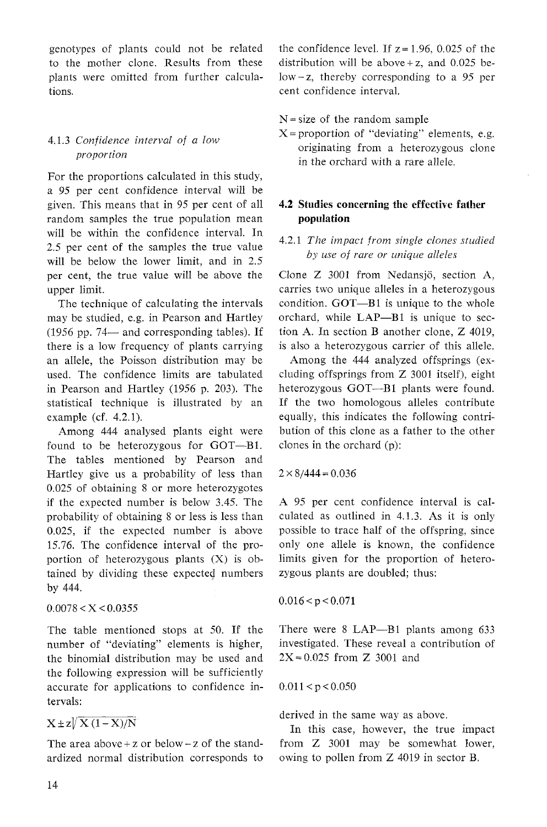genotypes of plants could not be related to the mother clone. Results from these plants were omitted from further calculations.

## 4.1.3 *Confidence interval of a low proportion*

For the proportions calculated in this study, a 95 per cent confidence interval will be given. This means that in 95 per cent of all random samples the true population mean will be within the confidence interval. In 2.5 per cent of the samples the true value will be below the lower limit, and in 2.5 per cent, the true value will be above the upper limit.

The technique of calculating the intervals may be studied, e.g. in Pearson and Hartley (1956 pp. 74- and corresponding tables). If there is a low frequency of plants carrying an allele, the Poisson distribution may be used. The confidence limits are tabulated in Pearson and Hartley (1956 p. 203). The statistical technique is illustrated by an example (cf. 4.2.1).

Among 444 analysed plants eight were found to be heterozygous for GOT-B1. The tables mentioned by Pearson and Hartley give us a probability of less than 0.025 of obtaining 8 or more heterozygotes if the expected number is below 3.45. The probability of obtaining 8 or less is less than 0.025, if the expected number is above 15.76. The confidence interval of the proportion of heterozygous plants (X) is obtained by dividing these expected numbers by 444.

 $0.0078 < X < 0.0355$ 

The table mentioned stops at 50. If the number of "deviating" elements is higher, the binomial distribution may be used and the following expression will be sufficiently accurate for applications to confidence intervals:

# $X \pm z \sqrt{X(1-X)/N}$

The area above + z or below  $-z$  of the standardized normal distribution corresponds to the confidence level. If  $z = 1.96$ , 0.025 of the distribution will be above  $+z$ , and 0.025 be $low-z$ , thereby corresponding to a 95 per cent confidence interval.

 $N = size of the random sample$ 

 $X =$  proportion of "deviating" elements, e.g. originating from a heterozygous clone in the orchard with a rare allele.

## **4.2** *Studies concerning the effective father population*

## 4.2.1 *The impact from single clones studied by use of rare or unique alleles*

Clone Z 3001 from Nedansjö, section A, carries two unique alleles in a heterozygous condition. GOT-B1 is unique to the whole orchard, while LAP-B1 is unique to section A. In section B another clone, Z 4019, is also a heterozygous carrier of this allele.

Among the 444 analyzed offsprings (excluding offsprings from Z 3001 itself), eight heterozygous GOT-B1 plants were found. If the two homologous alleles contribute equally, this indicates the following contribution of this clone as a father to the other clones in the orchard (p):

 $2 \times 8/444 = 0.036$ 

A 95 per cent confidence interval is calculated as outlined in 4.1.3. As it is only possible to trace half of the offspring, since only one allele is known, the confidence limits given for the proportion of heterozygous plants are doubled; thus:

 $0.016 < p < 0.071$ 

There were 8 LAP-B1 plants among 633 investigated. These reveal a contribution of  $2X = 0.025$  from Z 3001 and

 $0.011 < p < 0.050$ 

derived in the same way as above.

In this case, however, the true impact from Z 3001 may be somewhat lower, owing to pollen from Z 4019 in sector B.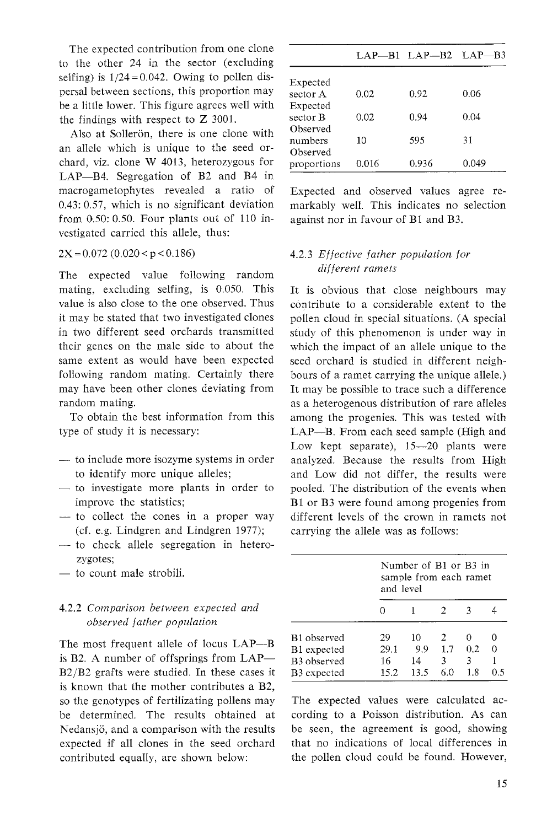The expected contribution from one clone to the other 24 in the sector (excluding selfing) is  $1/24 = 0.042$ . Owing to pollen dispersal between sections, this proportion may be a little lower. This figure agrees well with the findings with respect to Z 3001.

Also at Sollerön, there is one clone with an allele which is unique to the seed orchard, viz. clone W 4013, heterozygous for LAP-B4. Segregation of B2 and B4 in macrogametophytes revealed a ratio of 0.43: 0.57, which is no significant deviation from 0.50: 0.50. Four plants out of 110 investigated carried this allele, thus:

 $2X = 0.072$  (0.020 < p < 0.186)

The expected value following random mating, excluding selfing, is 0.050. This value is also close to the one observed. Thus it may be stated that two investigated clones in two different seed orchards transmitted their genes on the male side to about the same extent as would have been expected following random mating. Certainly there may have been other clones deviating from random mating.

To obtain the best information from this type of study it is necessary:

- to include more isozyme systems in order to identify more unique alleles;
- $-$  to investigate more plants in order to improve the statistics;
- to collect the cones in a proper way (cf. e.g. Lindgren and Lindgren 1977);
- to check allele segregation in heterozygotes;
- to count male strobili.

## 4.2.2 *Comparison between expected and observed father population*

The most frequent allele of locus LAP-B is B2. A number of offsprings from  $LAP-$ B2/B2 grafts were studied. In these cases it is known that the mother contributes a B2, so the genotypes of fertilizating pollens may be determined. The results obtained at Nedansjö, and a comparison with the results expected if all clones in the seed orchard contributed equally, are shown below:

|                 |       | LAP-B1 LAP-B2 LAP-B3 |       |
|-----------------|-------|----------------------|-------|
| Expected        |       |                      |       |
| sector A        | 0.02  | 0.92                 | 0.06  |
| Expected        |       |                      |       |
| sector <b>B</b> | 0.02  | 0.94                 | 0.04  |
| Observed        |       |                      |       |
| numbers         | 10    | 595                  | 31    |
| Observed        |       |                      |       |
| proportions     | 0.016 | 0.936                | 0.049 |

Expected and observed values agree remarkably well. This indicates no selection against nor in favour of B1 and B3.

## 4.2.3 *Effective father population for different ramets*

It is obvious that close neighbours may contribute to a considerable extent to the pollen cloud in special situations. (A special study of this phenomenon is under way in which the impact of an allele unique to the seed orchard is studied in different neighbours of a ramet carrying the unique allele.) It may be possible to trace such a difference as a heterogenous distribution of rare alleles among the progenies. This was tested with LAP-B. From each seed sample (High and Low kept separate),  $15-20$  plants were analyzed. Because the results from High and Low did not differ, the results were pooled. The distribution of the events when B1 or B3 were found among progenies from different levels of the crown in ramets not carrying the allele was as follows:

|             | Number of B1 or B3 in<br>sample from each ramet<br>and level |      |     |      |   |  |
|-------------|--------------------------------------------------------------|------|-----|------|---|--|
|             |                                                              |      |     |      |   |  |
| B1 observed | 29                                                           | 10   | 2   |      |   |  |
| B1 expected | 29.1                                                         | 9.9  | 1.7 | 0.2. | 0 |  |
| B3 observed | 16                                                           | 14   | 3   | 3    |   |  |
| B3 expected | 15.2                                                         | 13.5 |     | 1.8  |   |  |

The expected values were calculated according to a Poisson distribution. As can be seen, the agreement is good, showing that no indications of local differences in the pollen cloud could be found. However,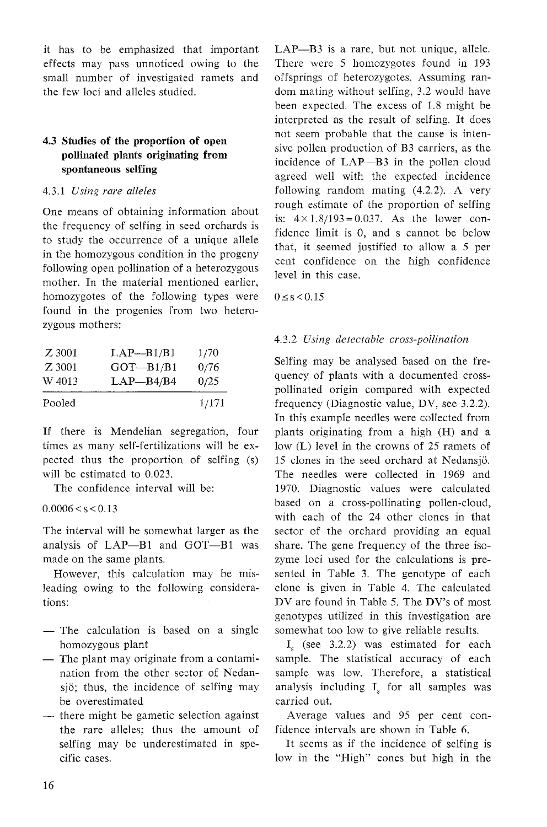it has to be emphasized that important effects may pass unnoticed owing to the small number of investigated ramets and the few loci and alleles studied.

## **4.3 Studies of the proportion of open pollinated plants originating from spontaneous selfing**

### 4.3.1 *Using rare alleles*

that, it seemed justified to allow a 5 per<br>in the homozygous condition in the progeny<br>following open pollination of a heterozygous<br>mother. In the material mentioned earlier,<br>well in this case. homozygotes of the following types were found in the progenies from two heterozygous mothers:

| Z 3001<br>Z 3001 | $LAP - B1/B1$<br>$GOT-B1/B1$ | 1/70         |
|------------------|------------------------------|--------------|
| W 4013           | $LAP - B4/B4$                | 0/76<br>0/25 |
| Pooled           |                              | 1/171        |

If there is Mendelian segregation, four times as many self-fertilizations will be expected thus the proportion of selfing (s) will be estimated to 0.023.

The confidence interval will be:

 $0.0006 < s < 0.13$ 

The interval will be somewhat larger as the analysis of LAP-B1 and GOT-B1 was made on the same plants.

However, this calculation may be misleading owing to the following considerations:

- The calculation is based on a single homozygous plant
- The plant may originate from a contamination from the other sector of Nedansjo; thus, the incidence of selfing may be overestimated
- there might be gametic selection against the rare alleles; thus the amount of selfing may be underestimated in specific cases.

LAP-B3 is a rare, but not unique, allele. There were *5* homozygotes found in 193 offsprings of heterozygotes. Assuming random mating without selfing, 3.2 would have been expected. The excess of 1.8 might be interpreted as the result of selfing. It does not seem probable that the cause is intensive pollen production of B3 carriers, as the incidence of LAP-B3 in the pollen cloud agreed well with the expected incidence following random mating (4.2.2). A very One means of obtaining information about is:  $4 \times 1.8/193 = 0.037$ . As the lower con-<br>the frequency of selfing in seed orchards is fidence limit is 0, and s cannot be below<br>to study the occurrence of a unique allele

 $0 \le s < 0.15$ 

## 4.3.2 *Using detectable cross-pollination*

Selfing may be analysed based on the frequency of plants with a documented crosspollinated origin compared with expected frequency (Diagnostic value, DV, see 3.2.2). In this example needles were collected from plants originating from a high (H) and a low (L) level in the crowns of 25 ramets of 15 clones in the seed orchard at Nedansjo. The needles were collected in 1969 and 1970. Diagnostic values were calculated based on a cross-pollinating pollen-cloud, with each of the 24 other clones in that sector of the orchard providing an equal share. The gene frequency of the three isozyme loci used for the calculations is presented in Table 3. The genotype of each clone is given in Table 4. The calculated DV are found in Table *5.* The DV's of most genotypes utilized in this investigation are somewhat too low to give reliable results.

I, (see 3.2.2) was estimated for each sample. The statistical accuracy of each sample was low. Therefore, a statistical analysis including  $I_s$  for all samples was carried out.

Average values and 95 per cent confidence intervals are shown in Table 6.

It seems as if the incidence of selfing is low in the "High" cones but high in the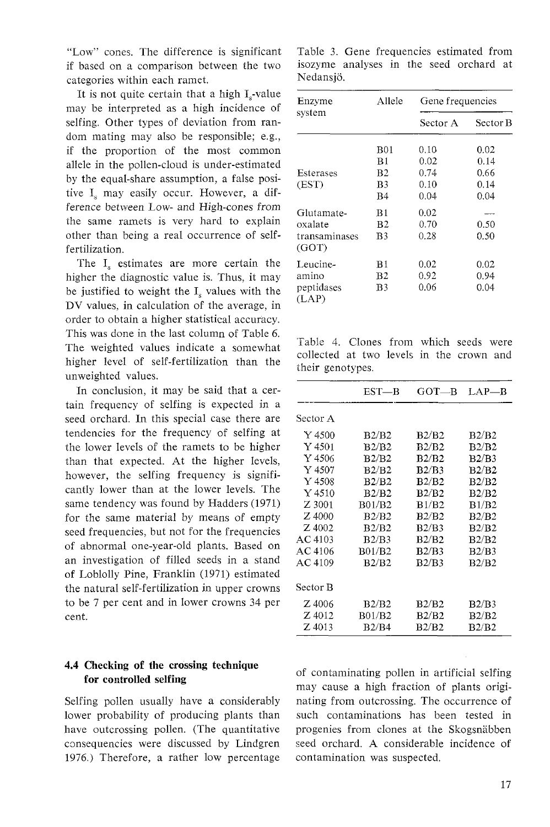"Low" cones. The difference is significant if based on a comparison between the two categories within each ramet.

It is not quite certain that a high  $I<sub>s</sub>$ -value may be interpreted as a high incidence of selfing. Other types of deviation from random mating may also be responsible; e.g., if the proportion of the most common allele in the pollen-cloud is under-estimated by the equal-share assumption, a false positive  $I_s$  may easily occur. However, a difference between Low- and High-cones from the same ramets is very hard to explain other than being a real occurrence of selffertilization.

The  $I_s$  estimates are more certain the higher the diagnostic value is. Thus, it may be justified to weight the  $I_s$  values with the DV values, in calculation of the average, in order to obtain a higher statistical accuracy. This was done in the last column of Table 6. The weighted values indicate a somewhat higher level of self-fertilization than the unweighted values.

In conclusion, it may be said that a certain frequency of selfing is expected in a seed orchard. In this special case there are tendencies for the frequency of selfing at the lower levels of the ramets to be higher than that expected. At the higher levels, however, the selfing frequency is significantly lower than at the lower levels. The same tendency was found by Hadders (1971) for the same material by means of empty seed frequencies, but not for the frequencies of abnormal one-year-old plants. Based on an investigation of filled seeds in a stand of Loblolly Pine, Franklin (1971) estimated the natural self-fertilization in upper crowns to be 7 per cent and in lower crowns 34 per cent.

## **4.4 Checking of the crossing technique for controlled selfing**

Selfing pollen usually have a considerably lower probability of producing plants than have outcrossing pollen. (The quantitative consequencies were discussed by Lindgren 1976.) Therefore, a rather low percentage

Table 3. Gene frequencies estimated from isozyme analyses in the seed orchard at Nedansjo.

| Enzyme                 | Allele | Gene frequencies |          |  |
|------------------------|--------|------------------|----------|--|
| svstem                 |        | Sector A         | Sector B |  |
|                        | B01    | 0.10             | 0.02     |  |
|                        | B1     | 0.02             | 0.14     |  |
| Esterases              | B2     | 0.74             | 0.66     |  |
| (EST)                  | B3     | 0.10             | 0.14     |  |
|                        | B4     | 0.04             | 0.04     |  |
| Glutamate-             | B1     | 0.02             |          |  |
| oxalate                | B2     | 0.70             | 0.50     |  |
| transaminases<br>(GOT) | B3     | 0.28             | 0.50     |  |
| Leucine-               | B1     | 0.02             | 0.02     |  |
| amino                  | B2     | 0.92             | 0.94     |  |
| peptidases<br>(LAP)    | B3     | 0.06             | 0.04     |  |

collected at two levels in the crown and their genotypes.

| their genotypes. | Table 4. Clones from which seeds<br>collected at two levels in the crown |       | were<br>and |
|------------------|--------------------------------------------------------------------------|-------|-------------|
|                  | $EST - B$                                                                | GOT—B | $LAP - B$   |
| Sector A         |                                                                          |       |             |
| Y4500            | B2/B2                                                                    | B2/B2 | B2/B2       |
| Y4501            | B2/B2                                                                    | B2/B2 | B2/B2       |
| Y 4506           | B2/B2                                                                    | B2/B2 | B2/B3       |
| Y4507            | B2/B2                                                                    | B2/B3 | B2/B2       |
| Y4508            | B2/B2                                                                    | B2/B2 | B2/B2       |
| $Y$ 4510         | B2/B2                                                                    | B2/B2 | B2/B2       |
| Z 3001           | B01/B2                                                                   | B1/B2 | B1/B2       |
| Z 4000           | B2/B2                                                                    | B2/B2 | B2/B2       |
| Z 4002           | B2/B2                                                                    | B2/B3 | B2/B2       |
| AC 4103          | B2/B3                                                                    | B2/B2 | B2/B2       |
| AC 4106          | B01/B2                                                                   | B2/B3 | B2/B3       |
| AC 4109          | B2/B2                                                                    | B2/B3 | B2/B2       |
| Sector B         |                                                                          |       |             |
| $Z$ 4006         | B2/B2                                                                    | B2/B2 | B2/B3       |
| Z 4012           | B01/B2                                                                   | B2/B2 | B2/B2       |
| Z 4013           | B2/B4                                                                    | B2/B2 | B2/B2       |

of contaminating pollen in artificial selfing may cause a high fraction of plants originating from outcrossing. The occurrence of such contaminations has been tested in progenies from clones at the Skogsnabben seed orchard. A considerable incidence of contamination was suspected.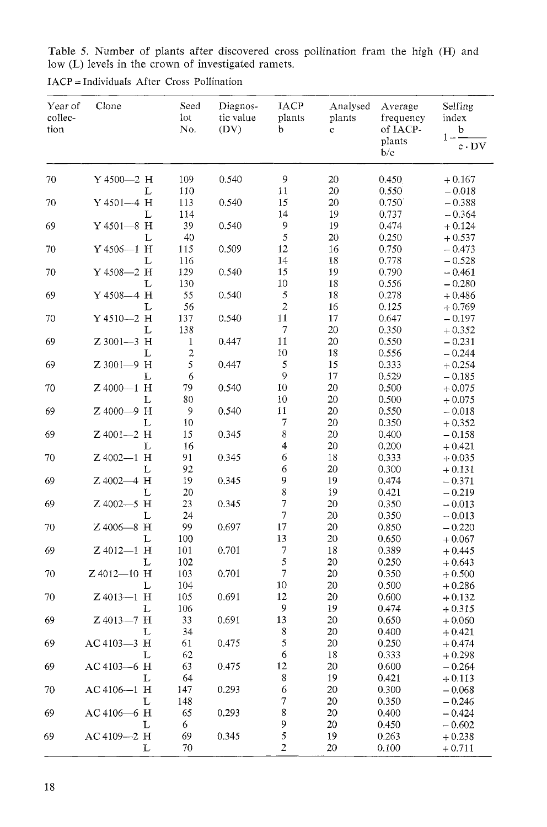Table 5. Number of plants after discovered cross pollination fram the high (H) and low (L) levels in the crown of investigated ramets.

| 109<br>0.540<br>9<br>70<br>$Y4500 - 2$ H<br>20<br>0.450<br>$+0.167$<br>11<br>20<br>0.550<br>L<br>110<br>$-0.018$<br>15<br>Y 4501-4 H<br>113<br>0.540<br>20<br>0.750<br>$-0.388$<br>70<br>L<br>14<br>114<br>19<br>0.737<br>$-0.364$<br>39<br>$\overline{9}$<br>69<br>$Y4501 - 8$ H<br>0.540<br>19<br>0.474<br>$+0.124$<br>5<br>40<br>0.250<br>L<br>20<br>$+0.537$<br>12<br>Y 4506-1 H<br>16<br>0.750<br>70<br>115<br>0.509<br>$-0.473$<br>14<br>L<br>116<br>18<br>0.778<br>$-0.528$<br>Y 4508-2 H<br>15<br>129<br>0.540<br>19<br>0.790<br>70<br>$-0.461$<br>18<br>L<br>130<br>10<br>0.556<br>$-0.280$<br>$\sqrt{5}$<br>69<br>Y 4508-4 H<br>55<br>0.540<br>18<br>0.278<br>$+0.486$<br>$\overline{c}$<br>56<br>L<br>16<br>0.125<br>$+0.769$<br>11<br>$Y4510 - 2$ H<br>137<br>0.540<br>17<br>0.647<br>70<br>$-0.197$<br>$\overline{7}$<br>20<br>L<br>138<br>0.350<br>$+0.352$<br>11<br>Z 3001-3 H<br>0.447<br>20<br>69<br>$\mathbf{1}$<br>0.550<br>$-0.231$<br>$\overline{\mathbf{c}}$<br>10<br>L<br>18<br>0.556<br>$-0.244$<br>5<br>$\sqrt{5}$<br>Z 3001-9 H<br>15<br>69<br>0.447<br>0.333<br>$+0.254$<br>$\mathbf{9}$<br>$\epsilon$<br>L<br>17<br>0.529<br>$-0.185$<br>$Z$ 4000-1 H<br>10<br>20<br>70<br>79<br>0.540<br>0.500<br>$+0.075$<br>L<br>80<br>10<br>20<br>0.500<br>$+0.075$<br>Z 4000-9 H<br>11<br>69<br>$\mathcal{P}$<br>0.540<br>20<br>0.550<br>$-0.018$<br>$\boldsymbol{7}$<br>L<br>10<br>20<br>0.350<br>$+0.352$<br>8<br>Z 4001-2 H<br>0.345<br>20<br>0.400<br>69<br>15<br>$-0.158$<br>4<br>20<br>L<br>16<br>0.200<br>$+0.421$<br>6<br>Z 4002-1 H<br>18<br>91<br>0.345<br>0.333<br>70<br>$+0.035$<br>6<br>L<br>92<br>20<br>0.300<br>$+0.131$<br>9<br>Z 4002-4 H<br>19<br>19<br>0.345<br>0.474<br>$-0.371$<br>8<br>19<br>L<br>20<br>0.421<br>$-0.219$<br>$\overline{7}$<br>Z 4002-5 H<br>20<br>69<br>23<br>0.345<br>0.350<br>$-0.013$<br>7<br>20<br>L<br>24<br>0.350<br>$-0.013$<br>17<br>Z 4006-8 H<br>99<br>0.697<br>20<br>70<br>0.850<br>$-0.220$<br>13<br>L<br>100<br>20<br>0.650<br>$+0.067$<br>$\boldsymbol{7}$<br>Z 4012-1 H<br>18<br>69<br>101<br>0.701<br>0.389<br>$+0.445$<br>5<br>102<br>20<br>0.250<br>L<br>$+0.643$<br>$\overline{7}$<br>Z 4012-10 H<br>103<br>0.701<br>20<br>0.350<br>70<br>$+0.500$<br>10<br>104<br>20<br>L<br>0.500<br>$+0.286$<br>12<br>$Z$ 4013-1 H<br>105<br>0.691<br>20<br>70<br>0.600<br>$+0.132$<br>9<br>L<br>106<br>19<br>0.474<br>$+0.315$<br>13<br>69<br>Z 4013-7 H<br>33<br>0.691<br>20<br>0.650<br>$+0.060$<br>8<br>34<br>20<br>0.400<br>L<br>$+0.421$<br>5<br>AC 4103-3 H<br>61<br>0.475<br>20<br>0.250<br>69<br>$+0.474$<br>$\boldsymbol{6}$<br>62<br>18<br>0.333<br>L<br>$+0.298$<br>69<br>AC 4103-6 H<br>63<br>0.475<br>12<br>20<br>0.600<br>$-0.264$<br>$\,$ 8 $\,$<br>L<br>64<br>19<br>0.421<br>$+0.113$<br>6<br>AC 4106-1 H<br>70<br>147<br>0.293<br>20<br>0.300<br>$-0.068$<br>$\boldsymbol{7}$<br>L<br>148<br>20<br>0.350<br>$-0.246$<br>8<br>AC 4106-6 H<br>69<br>65<br>0.293<br>20<br>0.400<br>$-0.424$<br>9<br>L<br>20<br>6<br>0.450<br>$-0.602$<br>5<br>69<br>AC 4109-2 H<br>69<br>0.345<br>19<br>0.263<br>$+0.238$<br>2<br>20<br>L<br>70<br>0.100<br>$+0.711$ | Year of<br>collec-<br>tion | Clone | Seed<br>lot<br>No. | Diagnos-<br>tic value<br>(DV) | IACP<br>plants<br>b | Analysed<br>plants<br>$\mathbf C$ | Average<br>frequency<br>of IACP-<br>plants<br>b/c | Selfing<br>index<br>b<br>$1 -$<br>$c \cdot DV$ |
|-----------------------------------------------------------------------------------------------------------------------------------------------------------------------------------------------------------------------------------------------------------------------------------------------------------------------------------------------------------------------------------------------------------------------------------------------------------------------------------------------------------------------------------------------------------------------------------------------------------------------------------------------------------------------------------------------------------------------------------------------------------------------------------------------------------------------------------------------------------------------------------------------------------------------------------------------------------------------------------------------------------------------------------------------------------------------------------------------------------------------------------------------------------------------------------------------------------------------------------------------------------------------------------------------------------------------------------------------------------------------------------------------------------------------------------------------------------------------------------------------------------------------------------------------------------------------------------------------------------------------------------------------------------------------------------------------------------------------------------------------------------------------------------------------------------------------------------------------------------------------------------------------------------------------------------------------------------------------------------------------------------------------------------------------------------------------------------------------------------------------------------------------------------------------------------------------------------------------------------------------------------------------------------------------------------------------------------------------------------------------------------------------------------------------------------------------------------------------------------------------------------------------------------------------------------------------------------------------------------------------------------------------------------------------------------------------------------------------------------------------------------------------------------------------------------------------------------------------------------------------------------------------------------------------------------------------------------------------------------------------------------------------------------------------------------------------------------------------------------------------------------|----------------------------|-------|--------------------|-------------------------------|---------------------|-----------------------------------|---------------------------------------------------|------------------------------------------------|
|                                                                                                                                                                                                                                                                                                                                                                                                                                                                                                                                                                                                                                                                                                                                                                                                                                                                                                                                                                                                                                                                                                                                                                                                                                                                                                                                                                                                                                                                                                                                                                                                                                                                                                                                                                                                                                                                                                                                                                                                                                                                                                                                                                                                                                                                                                                                                                                                                                                                                                                                                                                                                                                                                                                                                                                                                                                                                                                                                                                                                                                                                                                                   |                            |       |                    |                               |                     |                                   |                                                   |                                                |
|                                                                                                                                                                                                                                                                                                                                                                                                                                                                                                                                                                                                                                                                                                                                                                                                                                                                                                                                                                                                                                                                                                                                                                                                                                                                                                                                                                                                                                                                                                                                                                                                                                                                                                                                                                                                                                                                                                                                                                                                                                                                                                                                                                                                                                                                                                                                                                                                                                                                                                                                                                                                                                                                                                                                                                                                                                                                                                                                                                                                                                                                                                                                   |                            |       |                    |                               |                     |                                   |                                                   |                                                |
|                                                                                                                                                                                                                                                                                                                                                                                                                                                                                                                                                                                                                                                                                                                                                                                                                                                                                                                                                                                                                                                                                                                                                                                                                                                                                                                                                                                                                                                                                                                                                                                                                                                                                                                                                                                                                                                                                                                                                                                                                                                                                                                                                                                                                                                                                                                                                                                                                                                                                                                                                                                                                                                                                                                                                                                                                                                                                                                                                                                                                                                                                                                                   |                            |       |                    |                               |                     |                                   |                                                   |                                                |
|                                                                                                                                                                                                                                                                                                                                                                                                                                                                                                                                                                                                                                                                                                                                                                                                                                                                                                                                                                                                                                                                                                                                                                                                                                                                                                                                                                                                                                                                                                                                                                                                                                                                                                                                                                                                                                                                                                                                                                                                                                                                                                                                                                                                                                                                                                                                                                                                                                                                                                                                                                                                                                                                                                                                                                                                                                                                                                                                                                                                                                                                                                                                   |                            |       |                    |                               |                     |                                   |                                                   |                                                |
|                                                                                                                                                                                                                                                                                                                                                                                                                                                                                                                                                                                                                                                                                                                                                                                                                                                                                                                                                                                                                                                                                                                                                                                                                                                                                                                                                                                                                                                                                                                                                                                                                                                                                                                                                                                                                                                                                                                                                                                                                                                                                                                                                                                                                                                                                                                                                                                                                                                                                                                                                                                                                                                                                                                                                                                                                                                                                                                                                                                                                                                                                                                                   |                            |       |                    |                               |                     |                                   |                                                   |                                                |
|                                                                                                                                                                                                                                                                                                                                                                                                                                                                                                                                                                                                                                                                                                                                                                                                                                                                                                                                                                                                                                                                                                                                                                                                                                                                                                                                                                                                                                                                                                                                                                                                                                                                                                                                                                                                                                                                                                                                                                                                                                                                                                                                                                                                                                                                                                                                                                                                                                                                                                                                                                                                                                                                                                                                                                                                                                                                                                                                                                                                                                                                                                                                   |                            |       |                    |                               |                     |                                   |                                                   |                                                |
|                                                                                                                                                                                                                                                                                                                                                                                                                                                                                                                                                                                                                                                                                                                                                                                                                                                                                                                                                                                                                                                                                                                                                                                                                                                                                                                                                                                                                                                                                                                                                                                                                                                                                                                                                                                                                                                                                                                                                                                                                                                                                                                                                                                                                                                                                                                                                                                                                                                                                                                                                                                                                                                                                                                                                                                                                                                                                                                                                                                                                                                                                                                                   |                            |       |                    |                               |                     |                                   |                                                   |                                                |
|                                                                                                                                                                                                                                                                                                                                                                                                                                                                                                                                                                                                                                                                                                                                                                                                                                                                                                                                                                                                                                                                                                                                                                                                                                                                                                                                                                                                                                                                                                                                                                                                                                                                                                                                                                                                                                                                                                                                                                                                                                                                                                                                                                                                                                                                                                                                                                                                                                                                                                                                                                                                                                                                                                                                                                                                                                                                                                                                                                                                                                                                                                                                   |                            |       |                    |                               |                     |                                   |                                                   |                                                |
|                                                                                                                                                                                                                                                                                                                                                                                                                                                                                                                                                                                                                                                                                                                                                                                                                                                                                                                                                                                                                                                                                                                                                                                                                                                                                                                                                                                                                                                                                                                                                                                                                                                                                                                                                                                                                                                                                                                                                                                                                                                                                                                                                                                                                                                                                                                                                                                                                                                                                                                                                                                                                                                                                                                                                                                                                                                                                                                                                                                                                                                                                                                                   |                            |       |                    |                               |                     |                                   |                                                   |                                                |
|                                                                                                                                                                                                                                                                                                                                                                                                                                                                                                                                                                                                                                                                                                                                                                                                                                                                                                                                                                                                                                                                                                                                                                                                                                                                                                                                                                                                                                                                                                                                                                                                                                                                                                                                                                                                                                                                                                                                                                                                                                                                                                                                                                                                                                                                                                                                                                                                                                                                                                                                                                                                                                                                                                                                                                                                                                                                                                                                                                                                                                                                                                                                   |                            |       |                    |                               |                     |                                   |                                                   |                                                |
|                                                                                                                                                                                                                                                                                                                                                                                                                                                                                                                                                                                                                                                                                                                                                                                                                                                                                                                                                                                                                                                                                                                                                                                                                                                                                                                                                                                                                                                                                                                                                                                                                                                                                                                                                                                                                                                                                                                                                                                                                                                                                                                                                                                                                                                                                                                                                                                                                                                                                                                                                                                                                                                                                                                                                                                                                                                                                                                                                                                                                                                                                                                                   |                            |       |                    |                               |                     |                                   |                                                   |                                                |
|                                                                                                                                                                                                                                                                                                                                                                                                                                                                                                                                                                                                                                                                                                                                                                                                                                                                                                                                                                                                                                                                                                                                                                                                                                                                                                                                                                                                                                                                                                                                                                                                                                                                                                                                                                                                                                                                                                                                                                                                                                                                                                                                                                                                                                                                                                                                                                                                                                                                                                                                                                                                                                                                                                                                                                                                                                                                                                                                                                                                                                                                                                                                   |                            |       |                    |                               |                     |                                   |                                                   |                                                |
|                                                                                                                                                                                                                                                                                                                                                                                                                                                                                                                                                                                                                                                                                                                                                                                                                                                                                                                                                                                                                                                                                                                                                                                                                                                                                                                                                                                                                                                                                                                                                                                                                                                                                                                                                                                                                                                                                                                                                                                                                                                                                                                                                                                                                                                                                                                                                                                                                                                                                                                                                                                                                                                                                                                                                                                                                                                                                                                                                                                                                                                                                                                                   |                            |       |                    |                               |                     |                                   |                                                   |                                                |
|                                                                                                                                                                                                                                                                                                                                                                                                                                                                                                                                                                                                                                                                                                                                                                                                                                                                                                                                                                                                                                                                                                                                                                                                                                                                                                                                                                                                                                                                                                                                                                                                                                                                                                                                                                                                                                                                                                                                                                                                                                                                                                                                                                                                                                                                                                                                                                                                                                                                                                                                                                                                                                                                                                                                                                                                                                                                                                                                                                                                                                                                                                                                   |                            |       |                    |                               |                     |                                   |                                                   |                                                |
|                                                                                                                                                                                                                                                                                                                                                                                                                                                                                                                                                                                                                                                                                                                                                                                                                                                                                                                                                                                                                                                                                                                                                                                                                                                                                                                                                                                                                                                                                                                                                                                                                                                                                                                                                                                                                                                                                                                                                                                                                                                                                                                                                                                                                                                                                                                                                                                                                                                                                                                                                                                                                                                                                                                                                                                                                                                                                                                                                                                                                                                                                                                                   |                            |       |                    |                               |                     |                                   |                                                   |                                                |
|                                                                                                                                                                                                                                                                                                                                                                                                                                                                                                                                                                                                                                                                                                                                                                                                                                                                                                                                                                                                                                                                                                                                                                                                                                                                                                                                                                                                                                                                                                                                                                                                                                                                                                                                                                                                                                                                                                                                                                                                                                                                                                                                                                                                                                                                                                                                                                                                                                                                                                                                                                                                                                                                                                                                                                                                                                                                                                                                                                                                                                                                                                                                   |                            |       |                    |                               |                     |                                   |                                                   |                                                |
|                                                                                                                                                                                                                                                                                                                                                                                                                                                                                                                                                                                                                                                                                                                                                                                                                                                                                                                                                                                                                                                                                                                                                                                                                                                                                                                                                                                                                                                                                                                                                                                                                                                                                                                                                                                                                                                                                                                                                                                                                                                                                                                                                                                                                                                                                                                                                                                                                                                                                                                                                                                                                                                                                                                                                                                                                                                                                                                                                                                                                                                                                                                                   |                            |       |                    |                               |                     |                                   |                                                   |                                                |
|                                                                                                                                                                                                                                                                                                                                                                                                                                                                                                                                                                                                                                                                                                                                                                                                                                                                                                                                                                                                                                                                                                                                                                                                                                                                                                                                                                                                                                                                                                                                                                                                                                                                                                                                                                                                                                                                                                                                                                                                                                                                                                                                                                                                                                                                                                                                                                                                                                                                                                                                                                                                                                                                                                                                                                                                                                                                                                                                                                                                                                                                                                                                   |                            |       |                    |                               |                     |                                   |                                                   |                                                |
|                                                                                                                                                                                                                                                                                                                                                                                                                                                                                                                                                                                                                                                                                                                                                                                                                                                                                                                                                                                                                                                                                                                                                                                                                                                                                                                                                                                                                                                                                                                                                                                                                                                                                                                                                                                                                                                                                                                                                                                                                                                                                                                                                                                                                                                                                                                                                                                                                                                                                                                                                                                                                                                                                                                                                                                                                                                                                                                                                                                                                                                                                                                                   |                            |       |                    |                               |                     |                                   |                                                   |                                                |
|                                                                                                                                                                                                                                                                                                                                                                                                                                                                                                                                                                                                                                                                                                                                                                                                                                                                                                                                                                                                                                                                                                                                                                                                                                                                                                                                                                                                                                                                                                                                                                                                                                                                                                                                                                                                                                                                                                                                                                                                                                                                                                                                                                                                                                                                                                                                                                                                                                                                                                                                                                                                                                                                                                                                                                                                                                                                                                                                                                                                                                                                                                                                   |                            |       |                    |                               |                     |                                   |                                                   |                                                |
|                                                                                                                                                                                                                                                                                                                                                                                                                                                                                                                                                                                                                                                                                                                                                                                                                                                                                                                                                                                                                                                                                                                                                                                                                                                                                                                                                                                                                                                                                                                                                                                                                                                                                                                                                                                                                                                                                                                                                                                                                                                                                                                                                                                                                                                                                                                                                                                                                                                                                                                                                                                                                                                                                                                                                                                                                                                                                                                                                                                                                                                                                                                                   |                            |       |                    |                               |                     |                                   |                                                   |                                                |
|                                                                                                                                                                                                                                                                                                                                                                                                                                                                                                                                                                                                                                                                                                                                                                                                                                                                                                                                                                                                                                                                                                                                                                                                                                                                                                                                                                                                                                                                                                                                                                                                                                                                                                                                                                                                                                                                                                                                                                                                                                                                                                                                                                                                                                                                                                                                                                                                                                                                                                                                                                                                                                                                                                                                                                                                                                                                                                                                                                                                                                                                                                                                   |                            |       |                    |                               |                     |                                   |                                                   |                                                |
|                                                                                                                                                                                                                                                                                                                                                                                                                                                                                                                                                                                                                                                                                                                                                                                                                                                                                                                                                                                                                                                                                                                                                                                                                                                                                                                                                                                                                                                                                                                                                                                                                                                                                                                                                                                                                                                                                                                                                                                                                                                                                                                                                                                                                                                                                                                                                                                                                                                                                                                                                                                                                                                                                                                                                                                                                                                                                                                                                                                                                                                                                                                                   |                            |       |                    |                               |                     |                                   |                                                   |                                                |
|                                                                                                                                                                                                                                                                                                                                                                                                                                                                                                                                                                                                                                                                                                                                                                                                                                                                                                                                                                                                                                                                                                                                                                                                                                                                                                                                                                                                                                                                                                                                                                                                                                                                                                                                                                                                                                                                                                                                                                                                                                                                                                                                                                                                                                                                                                                                                                                                                                                                                                                                                                                                                                                                                                                                                                                                                                                                                                                                                                                                                                                                                                                                   |                            |       |                    |                               |                     |                                   |                                                   |                                                |
|                                                                                                                                                                                                                                                                                                                                                                                                                                                                                                                                                                                                                                                                                                                                                                                                                                                                                                                                                                                                                                                                                                                                                                                                                                                                                                                                                                                                                                                                                                                                                                                                                                                                                                                                                                                                                                                                                                                                                                                                                                                                                                                                                                                                                                                                                                                                                                                                                                                                                                                                                                                                                                                                                                                                                                                                                                                                                                                                                                                                                                                                                                                                   |                            |       |                    |                               |                     |                                   |                                                   |                                                |
|                                                                                                                                                                                                                                                                                                                                                                                                                                                                                                                                                                                                                                                                                                                                                                                                                                                                                                                                                                                                                                                                                                                                                                                                                                                                                                                                                                                                                                                                                                                                                                                                                                                                                                                                                                                                                                                                                                                                                                                                                                                                                                                                                                                                                                                                                                                                                                                                                                                                                                                                                                                                                                                                                                                                                                                                                                                                                                                                                                                                                                                                                                                                   | 69                         |       |                    |                               |                     |                                   |                                                   |                                                |
|                                                                                                                                                                                                                                                                                                                                                                                                                                                                                                                                                                                                                                                                                                                                                                                                                                                                                                                                                                                                                                                                                                                                                                                                                                                                                                                                                                                                                                                                                                                                                                                                                                                                                                                                                                                                                                                                                                                                                                                                                                                                                                                                                                                                                                                                                                                                                                                                                                                                                                                                                                                                                                                                                                                                                                                                                                                                                                                                                                                                                                                                                                                                   |                            |       |                    |                               |                     |                                   |                                                   |                                                |
|                                                                                                                                                                                                                                                                                                                                                                                                                                                                                                                                                                                                                                                                                                                                                                                                                                                                                                                                                                                                                                                                                                                                                                                                                                                                                                                                                                                                                                                                                                                                                                                                                                                                                                                                                                                                                                                                                                                                                                                                                                                                                                                                                                                                                                                                                                                                                                                                                                                                                                                                                                                                                                                                                                                                                                                                                                                                                                                                                                                                                                                                                                                                   |                            |       |                    |                               |                     |                                   |                                                   |                                                |
|                                                                                                                                                                                                                                                                                                                                                                                                                                                                                                                                                                                                                                                                                                                                                                                                                                                                                                                                                                                                                                                                                                                                                                                                                                                                                                                                                                                                                                                                                                                                                                                                                                                                                                                                                                                                                                                                                                                                                                                                                                                                                                                                                                                                                                                                                                                                                                                                                                                                                                                                                                                                                                                                                                                                                                                                                                                                                                                                                                                                                                                                                                                                   |                            |       |                    |                               |                     |                                   |                                                   |                                                |
|                                                                                                                                                                                                                                                                                                                                                                                                                                                                                                                                                                                                                                                                                                                                                                                                                                                                                                                                                                                                                                                                                                                                                                                                                                                                                                                                                                                                                                                                                                                                                                                                                                                                                                                                                                                                                                                                                                                                                                                                                                                                                                                                                                                                                                                                                                                                                                                                                                                                                                                                                                                                                                                                                                                                                                                                                                                                                                                                                                                                                                                                                                                                   |                            |       |                    |                               |                     |                                   |                                                   |                                                |
|                                                                                                                                                                                                                                                                                                                                                                                                                                                                                                                                                                                                                                                                                                                                                                                                                                                                                                                                                                                                                                                                                                                                                                                                                                                                                                                                                                                                                                                                                                                                                                                                                                                                                                                                                                                                                                                                                                                                                                                                                                                                                                                                                                                                                                                                                                                                                                                                                                                                                                                                                                                                                                                                                                                                                                                                                                                                                                                                                                                                                                                                                                                                   |                            |       |                    |                               |                     |                                   |                                                   |                                                |
|                                                                                                                                                                                                                                                                                                                                                                                                                                                                                                                                                                                                                                                                                                                                                                                                                                                                                                                                                                                                                                                                                                                                                                                                                                                                                                                                                                                                                                                                                                                                                                                                                                                                                                                                                                                                                                                                                                                                                                                                                                                                                                                                                                                                                                                                                                                                                                                                                                                                                                                                                                                                                                                                                                                                                                                                                                                                                                                                                                                                                                                                                                                                   |                            |       |                    |                               |                     |                                   |                                                   |                                                |
|                                                                                                                                                                                                                                                                                                                                                                                                                                                                                                                                                                                                                                                                                                                                                                                                                                                                                                                                                                                                                                                                                                                                                                                                                                                                                                                                                                                                                                                                                                                                                                                                                                                                                                                                                                                                                                                                                                                                                                                                                                                                                                                                                                                                                                                                                                                                                                                                                                                                                                                                                                                                                                                                                                                                                                                                                                                                                                                                                                                                                                                                                                                                   |                            |       |                    |                               |                     |                                   |                                                   |                                                |
|                                                                                                                                                                                                                                                                                                                                                                                                                                                                                                                                                                                                                                                                                                                                                                                                                                                                                                                                                                                                                                                                                                                                                                                                                                                                                                                                                                                                                                                                                                                                                                                                                                                                                                                                                                                                                                                                                                                                                                                                                                                                                                                                                                                                                                                                                                                                                                                                                                                                                                                                                                                                                                                                                                                                                                                                                                                                                                                                                                                                                                                                                                                                   |                            |       |                    |                               |                     |                                   |                                                   |                                                |
|                                                                                                                                                                                                                                                                                                                                                                                                                                                                                                                                                                                                                                                                                                                                                                                                                                                                                                                                                                                                                                                                                                                                                                                                                                                                                                                                                                                                                                                                                                                                                                                                                                                                                                                                                                                                                                                                                                                                                                                                                                                                                                                                                                                                                                                                                                                                                                                                                                                                                                                                                                                                                                                                                                                                                                                                                                                                                                                                                                                                                                                                                                                                   |                            |       |                    |                               |                     |                                   |                                                   |                                                |
|                                                                                                                                                                                                                                                                                                                                                                                                                                                                                                                                                                                                                                                                                                                                                                                                                                                                                                                                                                                                                                                                                                                                                                                                                                                                                                                                                                                                                                                                                                                                                                                                                                                                                                                                                                                                                                                                                                                                                                                                                                                                                                                                                                                                                                                                                                                                                                                                                                                                                                                                                                                                                                                                                                                                                                                                                                                                                                                                                                                                                                                                                                                                   |                            |       |                    |                               |                     |                                   |                                                   |                                                |
|                                                                                                                                                                                                                                                                                                                                                                                                                                                                                                                                                                                                                                                                                                                                                                                                                                                                                                                                                                                                                                                                                                                                                                                                                                                                                                                                                                                                                                                                                                                                                                                                                                                                                                                                                                                                                                                                                                                                                                                                                                                                                                                                                                                                                                                                                                                                                                                                                                                                                                                                                                                                                                                                                                                                                                                                                                                                                                                                                                                                                                                                                                                                   |                            |       |                    |                               |                     |                                   |                                                   |                                                |
|                                                                                                                                                                                                                                                                                                                                                                                                                                                                                                                                                                                                                                                                                                                                                                                                                                                                                                                                                                                                                                                                                                                                                                                                                                                                                                                                                                                                                                                                                                                                                                                                                                                                                                                                                                                                                                                                                                                                                                                                                                                                                                                                                                                                                                                                                                                                                                                                                                                                                                                                                                                                                                                                                                                                                                                                                                                                                                                                                                                                                                                                                                                                   |                            |       |                    |                               |                     |                                   |                                                   |                                                |
|                                                                                                                                                                                                                                                                                                                                                                                                                                                                                                                                                                                                                                                                                                                                                                                                                                                                                                                                                                                                                                                                                                                                                                                                                                                                                                                                                                                                                                                                                                                                                                                                                                                                                                                                                                                                                                                                                                                                                                                                                                                                                                                                                                                                                                                                                                                                                                                                                                                                                                                                                                                                                                                                                                                                                                                                                                                                                                                                                                                                                                                                                                                                   |                            |       |                    |                               |                     |                                   |                                                   |                                                |
|                                                                                                                                                                                                                                                                                                                                                                                                                                                                                                                                                                                                                                                                                                                                                                                                                                                                                                                                                                                                                                                                                                                                                                                                                                                                                                                                                                                                                                                                                                                                                                                                                                                                                                                                                                                                                                                                                                                                                                                                                                                                                                                                                                                                                                                                                                                                                                                                                                                                                                                                                                                                                                                                                                                                                                                                                                                                                                                                                                                                                                                                                                                                   |                            |       |                    |                               |                     |                                   |                                                   |                                                |
|                                                                                                                                                                                                                                                                                                                                                                                                                                                                                                                                                                                                                                                                                                                                                                                                                                                                                                                                                                                                                                                                                                                                                                                                                                                                                                                                                                                                                                                                                                                                                                                                                                                                                                                                                                                                                                                                                                                                                                                                                                                                                                                                                                                                                                                                                                                                                                                                                                                                                                                                                                                                                                                                                                                                                                                                                                                                                                                                                                                                                                                                                                                                   |                            |       |                    |                               |                     |                                   |                                                   |                                                |
|                                                                                                                                                                                                                                                                                                                                                                                                                                                                                                                                                                                                                                                                                                                                                                                                                                                                                                                                                                                                                                                                                                                                                                                                                                                                                                                                                                                                                                                                                                                                                                                                                                                                                                                                                                                                                                                                                                                                                                                                                                                                                                                                                                                                                                                                                                                                                                                                                                                                                                                                                                                                                                                                                                                                                                                                                                                                                                                                                                                                                                                                                                                                   |                            |       |                    |                               |                     |                                   |                                                   |                                                |
|                                                                                                                                                                                                                                                                                                                                                                                                                                                                                                                                                                                                                                                                                                                                                                                                                                                                                                                                                                                                                                                                                                                                                                                                                                                                                                                                                                                                                                                                                                                                                                                                                                                                                                                                                                                                                                                                                                                                                                                                                                                                                                                                                                                                                                                                                                                                                                                                                                                                                                                                                                                                                                                                                                                                                                                                                                                                                                                                                                                                                                                                                                                                   |                            |       |                    |                               |                     |                                   |                                                   |                                                |
|                                                                                                                                                                                                                                                                                                                                                                                                                                                                                                                                                                                                                                                                                                                                                                                                                                                                                                                                                                                                                                                                                                                                                                                                                                                                                                                                                                                                                                                                                                                                                                                                                                                                                                                                                                                                                                                                                                                                                                                                                                                                                                                                                                                                                                                                                                                                                                                                                                                                                                                                                                                                                                                                                                                                                                                                                                                                                                                                                                                                                                                                                                                                   |                            |       |                    |                               |                     |                                   |                                                   |                                                |
|                                                                                                                                                                                                                                                                                                                                                                                                                                                                                                                                                                                                                                                                                                                                                                                                                                                                                                                                                                                                                                                                                                                                                                                                                                                                                                                                                                                                                                                                                                                                                                                                                                                                                                                                                                                                                                                                                                                                                                                                                                                                                                                                                                                                                                                                                                                                                                                                                                                                                                                                                                                                                                                                                                                                                                                                                                                                                                                                                                                                                                                                                                                                   |                            |       |                    |                               |                     |                                   |                                                   |                                                |
|                                                                                                                                                                                                                                                                                                                                                                                                                                                                                                                                                                                                                                                                                                                                                                                                                                                                                                                                                                                                                                                                                                                                                                                                                                                                                                                                                                                                                                                                                                                                                                                                                                                                                                                                                                                                                                                                                                                                                                                                                                                                                                                                                                                                                                                                                                                                                                                                                                                                                                                                                                                                                                                                                                                                                                                                                                                                                                                                                                                                                                                                                                                                   |                            |       |                    |                               |                     |                                   |                                                   |                                                |
|                                                                                                                                                                                                                                                                                                                                                                                                                                                                                                                                                                                                                                                                                                                                                                                                                                                                                                                                                                                                                                                                                                                                                                                                                                                                                                                                                                                                                                                                                                                                                                                                                                                                                                                                                                                                                                                                                                                                                                                                                                                                                                                                                                                                                                                                                                                                                                                                                                                                                                                                                                                                                                                                                                                                                                                                                                                                                                                                                                                                                                                                                                                                   |                            |       |                    |                               |                     |                                   |                                                   |                                                |
|                                                                                                                                                                                                                                                                                                                                                                                                                                                                                                                                                                                                                                                                                                                                                                                                                                                                                                                                                                                                                                                                                                                                                                                                                                                                                                                                                                                                                                                                                                                                                                                                                                                                                                                                                                                                                                                                                                                                                                                                                                                                                                                                                                                                                                                                                                                                                                                                                                                                                                                                                                                                                                                                                                                                                                                                                                                                                                                                                                                                                                                                                                                                   |                            |       |                    |                               |                     |                                   |                                                   |                                                |

IACP = Individuals After Cross Pollination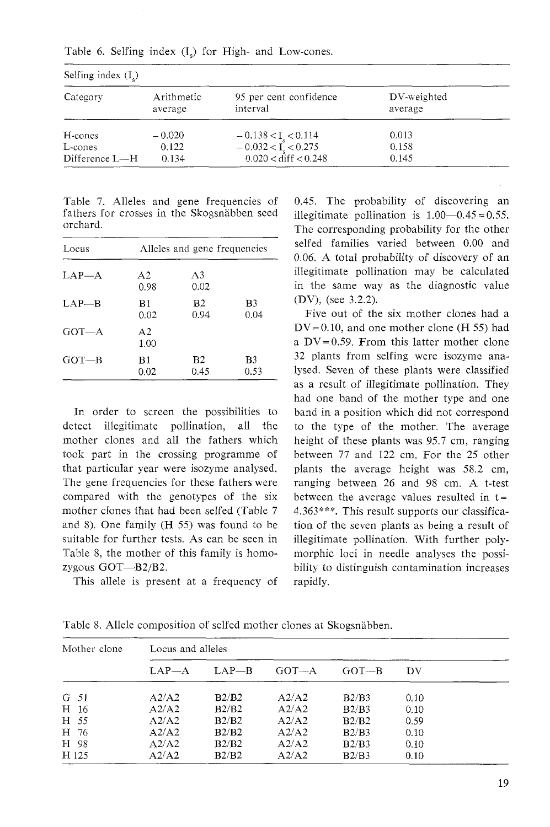| Selfing index $(I_{s})$ |                       |                                                                                   |                        |  |  |
|-------------------------|-----------------------|-----------------------------------------------------------------------------------|------------------------|--|--|
| Category                | Arithmetic<br>average | 95 per cent confidence<br>interval                                                | DV-weighted<br>average |  |  |
| H-cones<br>L-cones      | $-0.020$<br>0.122     | $-0.138 < I_s < 0.114$<br>$-0.032 < I_s < 0.275$<br>$0.020 < \text{diff} < 0.248$ | 0.013<br>0.158         |  |  |
| Difference L--H         | 0.134                 |                                                                                   | 0.145                  |  |  |

Table *6.* Selfing index (I,) for High- and Low-cones.

Table 7. Alleles and gene frequencies of fathers for crosses in the Skogsnäbben seed orchard.

| Locus     | Alleles and gene frequencies |                        |            |  |  |
|-----------|------------------------------|------------------------|------------|--|--|
| $LAP - A$ | A2<br>0.98                   | A3<br>0.02             |            |  |  |
| $LAP - B$ | B1<br>0.02                   | B <sub>2</sub><br>0.94 | B3<br>0.04 |  |  |
| $GOT-A$   | A <sub>2</sub><br>1.00       |                        |            |  |  |
| $GOT-B$   | B1<br>0.02                   | B <sub>2</sub><br>0.45 | B3<br>0.53 |  |  |

In order to screen the possibilities to detect illegitimate pollination, all the mother clones and all the fathers which took part in the crossing programme of that particular year were isozyme analysed. The gene frequencies for these fathers were compared with the genotypes of the six mother clones that had been selfed (Table 7 and 8). One family (H 55) was found to be suitable for further tests. As can be seen in Table 8, the mother of this family is homozygous GOT-B2/B2.

This allele is present at a frequency of

0.45. The probability of discovering an illegitimate pollination is  $1.00-0.45 = 0.55$ . The corresponding probability for the other selfed families varied between 0.00 and 0.06. A total probability of discovery of an illegitimate pollination may be calculated in the same way as the diagnostic value (DV), (see 3.2.2).

Five out of the six mother clones had a  $DV = 0.10$ , and one mother clone (H 55) had a  $DV = 0.59$ . From this latter mother clone 32 plants from selfing were isozyme analysed. Seven of these plants were classified as a result of illegitimate pollination. They had one band of the mother type and one band in a position which did not correspond to the type of the mother. The average height of these plants was 95.7 cm, ranging between 77 and 122 cm. For the 25 other plants the average height was 58.2 cm, ranging between 26 and 98 cm. A t-test between the average values resulted in  $t =$ 4.363\*\*\*. This result supports our classification of the seven plants as being a result of illegitimate pollination. With further polymorphic loci in needle analyses the possibility to distinguish contamination increases rapidly.

| Mother clone | Locus and alleles |         |         |         |      |  |  |
|--------------|-------------------|---------|---------|---------|------|--|--|
|              | $LAP - A$         | $LAP-B$ | $GOT-A$ | $GOT-B$ | DV   |  |  |
| G 51         | A2/A2             | B2/B2   | A2/A2   | B2/B3   | 0.10 |  |  |
| H 16         | A2/A2             | B2/B2   | A2/A2   | B2/B3   | 0.10 |  |  |
| H 55         | A2/A2             | B2/B2   | A2/A2   | B2/B2   | 0.59 |  |  |
| H 76         | A2/A2             | B2/B2   | A2/A2   | B2/B3   | 0.10 |  |  |
| H 98         | A2/A2             | B2/B2   | A2/A2   | B2/B3   | 0.10 |  |  |
| H 125        | A2/A2             | B2/B2   | A2/A2   | B2/B3   | 0.10 |  |  |

Table 8. Allele composition of selfed mother clones at Skogsnäbben.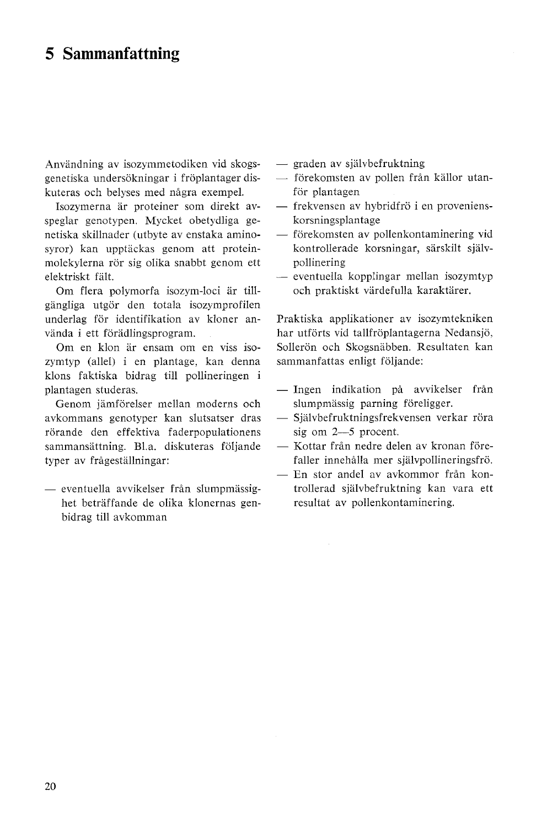# **5 Sammanfattning**

Användning av isozymmetodiken vid skogsgenetiska undersökningar i fröplantager diskuteras och belyses med några exempel.

Isozymerna är proteiner som direkt avspeglar genotypen. Mycket obetydliga genetiska skillnader (utbyte av enstaka aminosyror) kan upptäckas genom att proteinmolekylerna rör sig olika snabbt genom ett elektriskt falt.

Om flera polymorfa isozym-loci ar tillgängliga utgör den totala isozymprofilen underlag for identifiltation av kloner använda i ett förädlingsprogram.

Om en klon ar ensam om en viss isozymtyp (allel) i en plantage, kan denna klons faktiska bidrag till pollineringen i plantagen studeras.

Genom jamforelser mellan moderns och avkommans genotyper kan slutsatser dras rörande den effektiva faderpopulationens sammansattning. B1.a. diskuteras foljande typer av fragestallningar:

- eventuella avvikelser från slumpmässighet betraffande de olika klonernas genbidrag till avkomman

- graden av självbefruktning
- förekomsten av pollen från källor utanför plantagen
- frekvensen av hybridfrö i en provenienskorsningsplantage
- förekomsten av pollenkontaminering vid kontrollerade korsningar, sarskilt sjalvpollinering
- eventuella kopplingar mellan isozymtyp och praktiskt värdefulla karaktärer.

Praktiska applikationer av isozymtekniken har utförts vid tallfröplantagerna Nedansjö, Sollerön och Skogsnäbben. Resultaten kan sammanfattas enligt följande:

- Ingen indikation på avvikelser från slumpmässig parning föreligger.
- Självbefruktningsfrekvensen verkar röra sig om 2-5 procent.
- Kottar från nedre delen av kronan förefaller innehålla mer självpollineringsfrö.
- En stor andel av avkommor från kontrollerad sjalvbefruktning kan vara ett resultat av pollenkontaminering.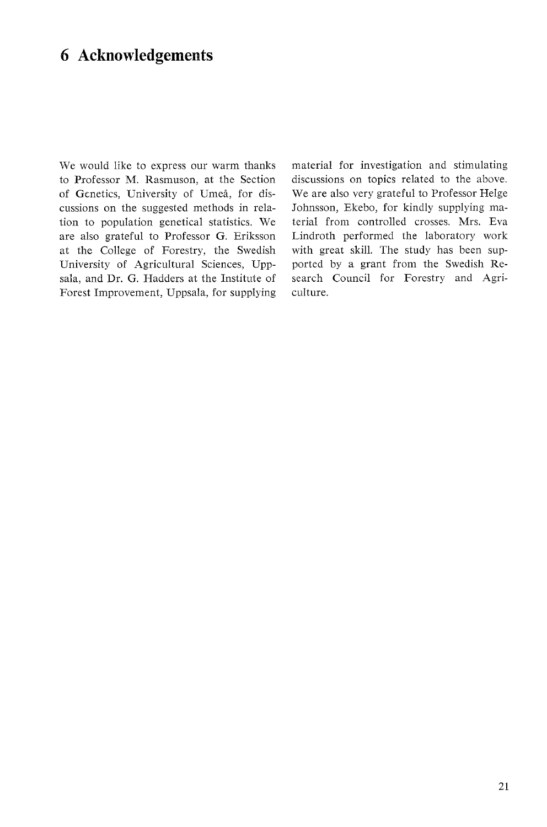# **6 Acknowledgements**

We would like to express our warm thanks to Professor M. Rasmuson, at the Section of Genetics, University of Umeå, for discussions on the suggested methods in relation to population genetical statistics. We are also grateful to Professor G. Eriksson at the College of Forestry, the Swedish University of Agricultural Sciences, Uppsala, and Dr. G. Hadders at the Institute of Forest Improvement, Uppsala, for supplying material for investigation and stimulating discussions on topics related to the above. We are also very grateful to Professor Helge Johnsson, Ekebo, for kindly supplying material from controlled crosses. Mrs. Eva Lindroth performed the laboratory work with great skill. The study has been supported by a grant from the Swedish Research Council for Forestry and Agriculture.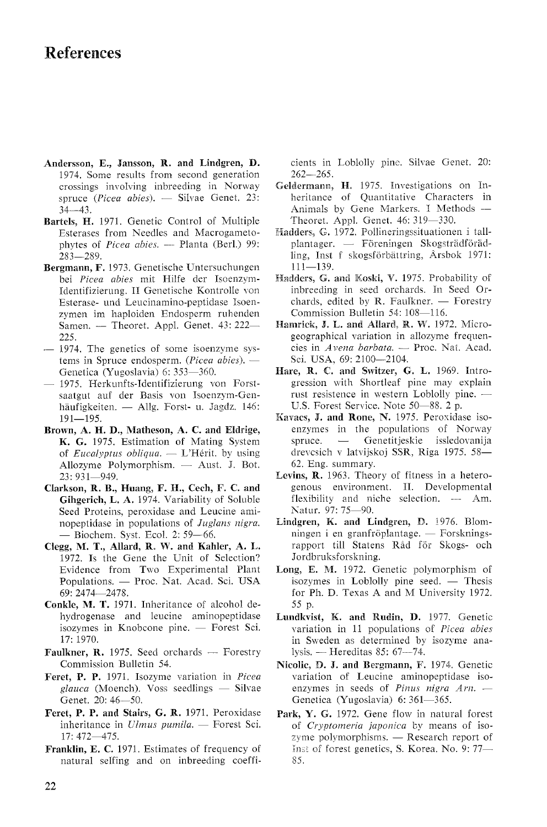# **References**

- **Andersson, E., Sansson, R. and Lindgren, D.**  1974. Some results from second generation crossings involving inbreeding in Norway 1974. Some results from second generation<br>crossings involving inbreeding in Norway<br>spruce (*Picea abies*). — Silvae Genet. 23:  $34 - 43$ .
- **Bartels, M.** 1971. Genetic Control of Multiple Esterases from Needles and Macrogametorels, **H.** 1971. Genetic Control of Multiple<br>Esterases from Needles and Macrogameto-<br>phytes of *Picea abies.* — Planta (Berl.) 99: 283-289.
- **Bergmann,** F. 1973. Genetische Untersuchungen bei *Picea abies* mit Hilfe der Isoenzym-Identifizierung. II Genetische Kontrolle von Esterase- und Leucinamino-peptidase Isoenzymen im haploiden Endosperm ruhenden Samen. - Theoret. Appl. Genet. 43: 222-225. Samen. — Theoret. Appl. Genet.  $43:222-225$ .<br>- 1974. The genetics of some isoenzyme sys-<br>- 1974. The genetics of some isoenzyme sys-
- 225.<br>1974. The genetics of some isoenzyme sys-<br>tems in Spruce endosperm. *(Picea abies).* —<br>Curvier (Yueselavia) (1,252, 260 Genetica (Yugoslavia) 6: 353-360. tems in Spruce endosperm. (*Picea abies*). —<br>Genetica (Yugoslavia) 6: 353—360.<br>- 1975. Herkunfts-Identifizierung von Forst-
- saatgut auf der Basis von Tsoenzym-Gen-1975. Herkunfts-Identifizierung von Forst-<br>saatgut auf der Basis von Isoenzym-Gen-<br>häufigkeiten. — Allg. Forst- u. Jagdz. 146:  $191 - 195.$
- **Brown, A. H. D., Matheson, A. C. and Eldrige, K. G.** 1975. Estimation of Mating System wm, **A. H. D.**, Matheson, **A. C.** and Eldrige,<br>**K. G.** 1975. Estimation of Mating System<br>of *Eucalyptus obliqua.* — L'Hérit. by using **K. G.** 1975. Estimation of Mating System<br>of *Eucalyptus obliqua*. — L'Hérit. by using<br>Allozyme Polymorphism. — Aust. J. Bot. 23: 931-949.
- **Clarkson, R. B., Huang, F. H., Cech, F. C. and Gihgerich, L. A.** 1974. Variability of Soluble Seed Proteins, peroxidase and Leucine aminopeptidase in populations of *Juglans nigra.*  Seed Proteins, peroxidase and Lonopeptidase in populations of  $Ju$ ,<br>
— Biochem. Syst. Ecol. 2: 59-66.
- **Clegg, M. T., Allard, R. W. and Kahler, A. k.**  1972. Is the Gene the Unit of Selection? Evidence from Two Experimental Plant 1972. Is the Gene the Unit of Selection?<br>Evidence from Two Experimental Plant<br>Populations. — Proc. Nat. Acad. Sci. USA 69: 2474-2478.
- Conkle, M. T. 1971. Inheritance of alcohol dehydrogenase and leucine aminopeptidase ikle, M. T. 1971. Inheritance of alcohol de-<br>hydrogenase and leucine aminopeptidase<br>isozymes in Knobcone pine. — Forest Sci. 17: 1970. isozymes in Knobcone pine. — Forest Sci.<br>17:1970.<br>**Faulkner, R.** 1975. Seed orchards — Forestry
- Commission Bulletin 54.
- **Feret, P. P.** 1971. Isozyme variation in *Picea*  **Commission Bulletin 54.**<br>**et, P. P.** 1971. Isozyme variation in *Picea*<br>*glauca* (Moench). Voss seedlings — Silvae Genet. 20: 46-50.
- **Feret, P. P. and Stairs, G. R.** 1971. Peroxidase Genet. 20: 46—50.<br>et, **P. P. and Stairs, G. R.** 1971. Peroxidase<br>inheritance in *Ulmus pumila.* — Forest Sci. 17: 472-475.
- **Franklin,** E. **C.** 1971. Estimates of frequency of natural selfing and on inbreeding coeffi-

cients in Loblolly pine. Silvae Genet. 20:  $262 - 265$ .

- Geldermann, H. 1975. Investigations on Inheritance of Quantitative Characters in Animals by Gene Markers. I Methods -Theoret. Appl. Genet. 46: 319-330.
- **Theoret.** Appl. Genet. 46: 319—330.<br> **Hadders, G.** 1972. Pollineringssituationen i tall-<br>
plantager. -- Föreningen Skogsträdföradling, Inst f skogsförbättring, Årsbok 1971:  $111 - 139.$
- **Haddess, 6. and Koski, V.** 1975. Probability of inbreeding in seed orchards. In Seed Qrchards, edited by R. Faulkner.  $-$  Forestry Commission Bulletin 54: 108-116.
- **Hamrick, J. L. and Allard, R. W. 1972. Micro**geographical variation in allozyme frequenmrick, **J. L. and Allard, R. W.** 1972. Micro-<br>geographical variation in allozyme frequen-<br>cies in *Avena barbata*. — Proc. Nat. Acad. Sci. USA, 69: 2100-2104.
- **Hare, R.** C. **anal Switaer, 6. L.** 1969. Tntrogression with Shortleaf pine may explain re, **R. C.** and Switzer, **G. L.** 1969. Introgression with Shortleaf pine may explain rust resistence in western Loblolly pine.  $-$ U.S. Forest Service. Note 50-88. 2 p.
- Kavacs, J. and Rone, N. 1975. Peroxidase isoenzymes in the populations of Norway vacs, J. and Rone, N. 1975. Peroxidase iso-<br>enzymes in the populations of Norway<br>spruce.  $\frac{1}{\sqrt{2}}$  Genetitiesltie issledovanija drevesich v latvijskoj SSR, Riga 1975. 58-62. Eng. summary.
- **Levins,** R. 1963. Theory of fitness in a heterogenous environment. 11. Developmental **ins, R.** 1963. Theory of fitness in a hetero-<br>genous environment. II. Developmental<br>flexibility and niche selection. -- Am. Natur. 97: 75-90.
- **Lindgren, K. and Lindgren, D.** 1976. Blomningen i en granfröplantage. — Forskningsrapport till Statens Råd för Skogs- och Jordbruksforskning.
- Jordbrukstorskning.<br> **Long, E. M.** 1972. Genetic polymorphism of<br>
isozymes in Loblolly pine seed. Thesis<br>
isozymes in Loblolly pine seed. Thesis for Ph. D. Texas A and M University 1972. 55 p.
- **krandkvist, K. and** Rudin, **D.** 1977. Genetic variation in 11 populations of *Picea abies*  in Sweden as determined by isozyme analysis.  $-$  Hereditas 85: 67 $-74$ .
- **Nicolic, D. 9. and Bergmann, F.** 1974. Genetic variation of Leucine aminopeptidase isoenzymes in seeds of *Pinus nigra Arn.* -Genetica (Yugoslavia) 6: 361-365.
- **Park,** Y. G. 1972. Gene flow in natural forest k, **Y. G.** 1972. Gene flow in natural forest<br>of *Cryptomeria japonica* by means of iso-<br>zyme polymorphisms. — Research report of Inst of forest genetics, S. Korea. No. 9: 77-85.